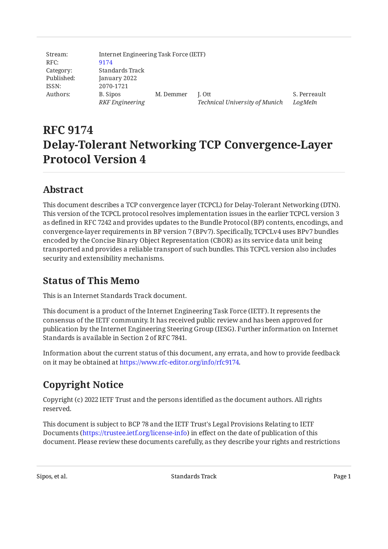| Stream:    | Internet Engineering Task Force (IETF) |           |                                |              |  |  |
|------------|----------------------------------------|-----------|--------------------------------|--------------|--|--|
| RFC:       | 9174                                   |           |                                |              |  |  |
| Category:  | Standards Track                        |           |                                |              |  |  |
| Published: | January 2022                           |           |                                |              |  |  |
| ISSN:      | 2070-1721                              |           |                                |              |  |  |
| Authors:   | B. Sipos                               | M. Demmer | I. Ott                         | S. Perreault |  |  |
|            | <b>RKF</b> Engineering                 |           | Technical University of Munich | LogMeIn      |  |  |

# **RFC 9174 Delay-Tolerant Networking TCP Convergence-Layer Protocol Version 4**

## <span id="page-0-0"></span>**[Abstract](#page-0-0)**

This document describes a TCP convergence layer (TCPCL) for Delay-Tolerant Networking (DTN). This version of the TCPCL protocol resolves implementation issues in the earlier TCPCL version 3 as defined in RFC 7242 and provides updates to the Bundle Protocol (BP) contents, encodings, and convergence-layer requirements in BP version 7 (BPv7). Specifically, TCPCLv4 uses BPv7 bundles encoded by the Concise Binary Object Representation (CBOR) as its service data unit being transported and provides a reliable transport of such bundles. This TCPCL version also includes security and extensibility mechanisms.

## <span id="page-0-1"></span>**[Status of This Memo](#page-0-1)**

This is an Internet Standards Track document.

This document is a product of the Internet Engineering Task Force (IETF). It represents the consensus of the IETF community. It has received public review and has been approved for publication by the Internet Engineering Steering Group (IESG). Further information on Internet Standards is available in Section 2 of RFC 7841.

Information about the current status of this document, any errata, and how to provide feedback on it may be obtained at [https://www.rfc-editor.org/info/rfc9174.](https://www.rfc-editor.org/info/rfc9174)

# <span id="page-0-2"></span>**[Copyright Notice](#page-0-2)**

Copyright (c) 2022 IETF Trust and the persons identified as the document authors. All rights reserved.

This document is subject to BCP 78 and the IETF Trust's Legal Provisions Relating to IETF Documents (<https://trustee.ietf.org/license-info>) in effect on the date of publication of this document. Please review these documents carefully, as they describe your rights and restrictions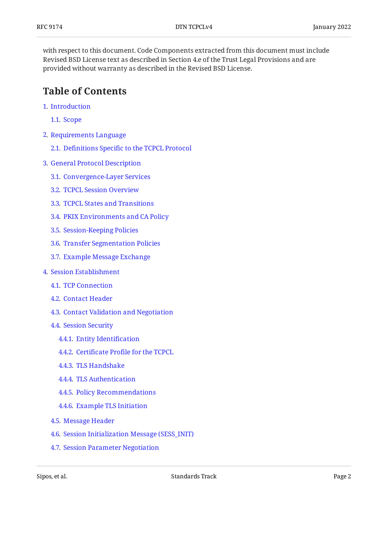with respect to this document. Code Components extracted from this document must include Revised BSD License text as described in Section 4.e of the Trust Legal Provisions and are provided without warranty as described in the Revised BSD License.

## <span id="page-1-0"></span>**[Table of Contents](#page-1-0)**

- [1](#page-3-0). [Introduction](#page-3-0)
	- [1.1.](#page-4-0) [Scope](#page-4-0)
- [2](#page-5-0). [Requirements Language](#page-5-0)
	- [2.1.](#page-5-1) Definitions Specifi[c to the TCPCL Protocol](#page-5-1)
- [3](#page-8-0). [General Protocol Description](#page-8-0)
	- [3.1.](#page-8-1) [Convergence-Layer Services](#page-8-1)
	- [3.2.](#page-10-0) [TCPCL Session Overview](#page-10-0)
	- [3.3.](#page-11-0) [TCPCL States and Transitions](#page-11-0)
	- [3.4.](#page-15-0) [PKIX Environments and CA Policy](#page-15-0)
	- [3.5.](#page-16-0) [Session-Keeping Policies](#page-16-0)
	- [3.6.](#page-17-0) [Transfer Segmentation Policies](#page-17-0)
	- [3.7.](#page-18-0) [Example Message Exchange](#page-18-0)
- [4](#page-19-0). [Session Establishment](#page-19-0)
	- [4.1.](#page-20-0) [TCP Connection](#page-20-0)
	- [4.2.](#page-20-1) [Contact Header](#page-20-1)
	- [4.3.](#page-21-0) [Contact Validation and Negotiation](#page-21-0)
	- [4.4.](#page-23-0) [Session Security](#page-23-0)
		- [4.4.1](#page-23-1). [Entity Identi](#page-23-1)fication
		- [4.4.2](#page-24-0). Certificate Profi[le for the TCPCL](#page-24-0)
		- [4.4.3](#page-25-0). [TLS Handshake](#page-25-0)
		- [4.4.4](#page-26-0). [TLS Authentication](#page-26-0)
		- [4.4.5](#page-27-0). [Policy Recommendations](#page-27-0)
		- [4.4.6](#page-28-0). [Example TLS Initiation](#page-28-0)
	- [4.5.](#page-28-1) [Message Header](#page-28-1)
	- [4.6.](#page-29-0) [Session Initialization Message \(SESS\\_INIT\)](#page-29-0)
	- [4.7.](#page-31-0) [Session Parameter Negotiation](#page-31-0)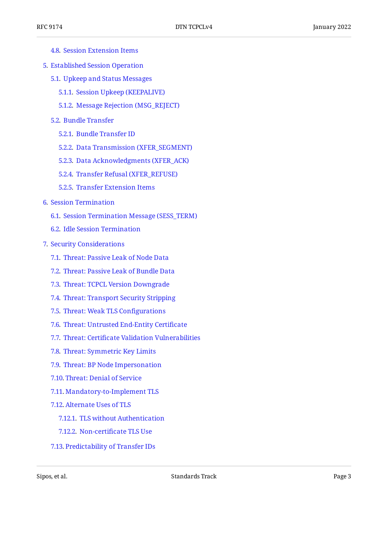- [4.8.](#page-32-0) [Session Extension Items](#page-32-0)
- [5](#page-33-0). [Established Session Operation](#page-33-0)
	- [5.1.](#page-33-1) [Upkeep and Status Messages](#page-33-1)
		- [5.1.1](#page-33-2). [Session Upkeep \(KEEPALIVE\)](#page-33-2)
		- [5.1.2](#page-33-3). [Message Rejection \(MSG\\_REJECT\)](#page-33-3)
	- [5.2.](#page-34-0) [Bundle Transfer](#page-34-0)
		- [5.2.1](#page-35-0). [Bundle Transfer ID](#page-35-0)
		- [5.2.2](#page-35-1). [Data Transmission \(XFER\\_SEGMENT\)](#page-35-1)
		- [5.2.3](#page-37-0). [Data Acknowledgments \(XFER\\_ACK\)](#page-37-0)
		- [5.2.4](#page-38-0). [Transfer Refusal \(XFER\\_REFUSE\)](#page-38-0)
		- [5.2.5](#page-40-0). [Transfer Extension Items](#page-40-0)
- [6](#page-41-0). [Session Termination](#page-41-0)
	- [6.1.](#page-42-0) [Session Termination Message \(SESS\\_TERM\)](#page-42-0)
	- [6.2.](#page-44-0) [Idle Session Termination](#page-44-0)
- [7](#page-44-1). [Security Considerations](#page-44-1)
	- [7.1.](#page-44-2) [Threat: Passive Leak of Node Data](#page-44-2)
	- [7.2.](#page-44-3) [Threat: Passive Leak of Bundle Data](#page-44-3)
	- [7.3.](#page-45-0) [Threat: TCPCL Version Downgrade](#page-45-0)
	- [7.4.](#page-45-1) [Threat: Transport Security Stripping](#page-45-1)
	- [7.5.](#page-45-2) [Threat: Weak TLS Con](#page-45-2)figurations
	- [7.6.](#page-45-3) [Threat: Untrusted End-Entity Certi](#page-45-3)ficate
	- [7.7.](#page-46-0) Threat: Certifi[cate Validation Vulnerabilities](#page-46-0)
	- [7.8.](#page-46-1) [Threat: Symmetric Key Limits](#page-46-1)
	- [7.9.](#page-46-2) [Threat: BP Node Impersonation](#page-46-2)
	- [7.10.](#page-47-0) [Threat: Denial of Service](#page-47-0)
	- [7.11.](#page-47-1) [Mandatory-to-Implement TLS](#page-47-1)
	- [7.12.](#page-48-0) [Alternate Uses of TLS](#page-48-0)
		- [7.12.1.](#page-48-1) [TLS without Authentication](#page-48-1)
		- [7.12.2.](#page-48-2) Non-certifi[cate TLS Use](#page-48-2)
	- [7.13.](#page-48-3) [Predictability of Transfer IDs](#page-48-3)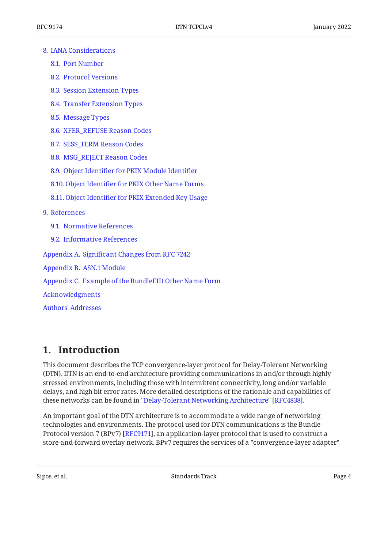#### [8](#page-48-4). [IANA Considerations](#page-48-4)

- [8.1.](#page-48-5) [Port Number](#page-48-5)
- [8.2.](#page-49-0) [Protocol Versions](#page-49-0)
- [8.3.](#page-49-1) [Session Extension Types](#page-49-1)
- [8.4.](#page-50-0) [Transfer Extension Types](#page-50-0)
- [8.5.](#page-50-1) [Message Types](#page-50-1)
- [8.6.](#page-51-0) [XFER\\_REFUSE Reason Codes](#page-51-0)
- [8.7.](#page-52-0) [SESS\\_TERM Reason Codes](#page-52-0)
- [8.8.](#page-53-0) [MSG\\_REJECT Reason Codes](#page-53-0)
- [8.9.](#page-53-1) Object Identifi[er for PKIX Module Identi](#page-53-1)fier
- [8.10.](#page-54-0) Object Identifi[er for PKIX Other Name Forms](#page-54-0)
- [8.11.](#page-54-1) Object Identifi[er for PKIX Extended Key Usage](#page-54-1)
- [9](#page-54-2). [References](#page-54-2)
	- [9.1.](#page-54-3) [Normative References](#page-54-3)
	- [9.2.](#page-56-0) [Informative References](#page-56-0)

[Appendix A.](#page-57-0) Signifi[cant Changes from RFC 7242](#page-57-0)

[Appendix B.](#page-58-0) [ASN.1 Module](#page-58-0)

[Appendix C.](#page-59-0) [Example of the BundleEID Other Name Form](#page-59-0)

[Acknowledgments](#page-60-0)

[Authors' Addresses](#page-60-1)

## <span id="page-3-0"></span>**[1. Introduction](#page-3-0)**

This document describes the TCP convergence-layer protocol for Delay-Tolerant Networking (DTN). DTN is an end-to-end architecture providing communications in and/or through highly stressed environments, including those with intermittent connectivity, long and/or variable delays, and high bit error rates. More detailed descriptions of the rationale and capabilities of these networks can be found in ["Delay-Tolerant Networking Architecture](#page-56-1)" [RFC4838].

An important goal of the DTN architecture is to accommodate a wide range of networking technologies and environments. The protocol used for DTN communications is the Bundle Protocol version 7 (BPv7) [[RFC9171\]](#page-55-0), an application-layer protocol that is used to construct a store-and-forward overlay network. BPv7 requires the services of a "convergence-layer adapter"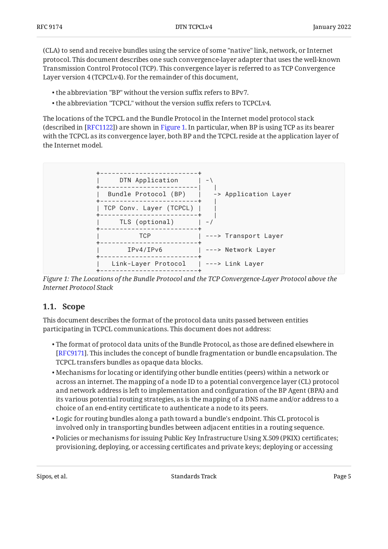(CLA) to send and receive bundles using the service of some "native" link, network, or Internet protocol. This document describes one such convergence-layer adapter that uses the well-known Transmission Control Protocol (TCP). This convergence layer is referred to as TCP Convergence Layer version 4 (TCPCLv4). For the remainder of this document,

- the abbreviation "BP" without the version suffix refers to BPv7. •
- the abbreviation "TCPCL" without the version suffix refers to TCPCLv4. •

The locations of the TCPCL and the Bundle Protocol in the Internet model protocol stack (described in [RFC1122]) are shown in [Figure 1.](#page-4-1) In particular, when BP is using TCP as its bearer with the TCPCL as its convergence layer, both BP and the TCPCL reside at the application layer of the Internet model.

<span id="page-4-1"></span>

*[Figure 1: The Locations of the Bundle Protocol and the TCP Convergence-Layer Protocol above the](#page-4-1) [Internet Protocol Stack](#page-4-1)* 

### <span id="page-4-0"></span>**[1.1. Scope](#page-4-0)**

This document describes the format of the protocol data units passed between entities participating in TCPCL communications. This document does not address:

- $\bullet$  The format of protocol data units of the Bundle Protocol, as those are defined elsewhere in [[RFC9171\]](#page-55-0). This includes the concept of bundle fragmentation or bundle encapsulation. The TCPCL transfers bundles as opaque data blocks.
- Mechanisms for locating or identifying other bundle entities (peers) within a network or across an internet. The mapping of a node ID to a potential convergence layer (CL) protocol and network address is left to implementation and configuration of the BP Agent (BPA) and its various potential routing strategies, as is the mapping of a DNS name and/or address to a choice of an end-entity certificate to authenticate a node to its peers.
- Logic for routing bundles along a path toward a bundle's endpoint. This CL protocol is involved only in transporting bundles between adjacent entities in a routing sequence.
- Policies or mechanisms for issuing Public Key Infrastructure Using X.509 (PKIX) certificates; provisioning, deploying, or accessing certificates and private keys; deploying or accessing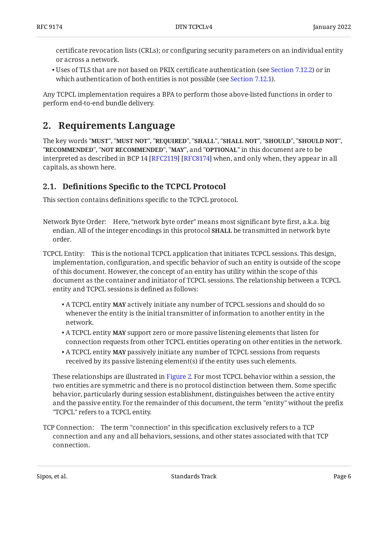certificate revocation lists (CRLs); or configuring security parameters on an individual entity or across a network.

 $\bullet$  Uses of TLS that are not based on PKIX certificate authentication (see [Section 7.12.2\)](#page-48-2) or in which authentication of both entities is not possible (see [Section 7.12.1\)](#page-48-1).

<span id="page-5-0"></span>Any TCPCL implementation requires a BPA to perform those above-listed functions in order to perform end-to-end bundle delivery.

## **[2. Requirements Language](#page-5-0)**

The key words "MUST", "MUST NOT", "REQUIRED", "SHALL", "SHALL NOT", "SHOULD", "SHOULD NOT", "**RECOMMENDED", "NOT RECOMMENDED", "MAY",** and "OPTIONAL" in this document are to be interpreted as described in BCP 14 [RFC2119] [RFC8174] when, and only when, they appear in all capitals, as shown here.

## <span id="page-5-1"></span>**[2.1. D](#page-5-1)efinitions Specifi[c to the TCPCL Protocol](#page-5-1)**

This section contains definitions specific to the TCPCL protocol.

- Network Byte Order: Here, "network byte order" means most significant byte first, a.k.a. big endian. All of the integer encodings in this protocol **SHALL** be transmitted in network byte order.
- TCPCL Entity: This is the notional TCPCL application that initiates TCPCL sessions. This design, implementation, configuration, and specific behavior of such an entity is outside of the scope of this document. However, the concept of an entity has utility within the scope of this document as the container and initiator of TCPCL sessions. The relationship between a TCPCL entity and TCPCL sessions is defined as follows:
	- $\bullet$  A TCPCL entity **MAY** actively initiate any number of TCPCL sessions and should do so whenever the entity is the initial transmitter of information to another entity in the network.
	- $\bullet$  A TCPCL entity **MAY** support zero or more passive listening elements that listen for connection requests from other TCPCL entities operating on other entities in the network.
	- $\bullet$  A TCPCL entity **MAY** passively initiate any number of TCPCL sessions from requests received by its passive listening element(s) if the entity uses such elements.

These relationships are illustrated in [Figure 2.](#page-7-0) For most TCPCL behavior within a session, the two entities are symmetric and there is no protocol distinction between them. Some specific behavior, particularly during session establishment, distinguishes between the active entity and the passive entity. For the remainder of this document, the term "entity" without the prefix "TCPCL" refers to a TCPCL entity.

TCP Connection: The term "connection" in this specification exclusively refers to a TCP connection and any and all behaviors, sessions, and other states associated with that TCP connection.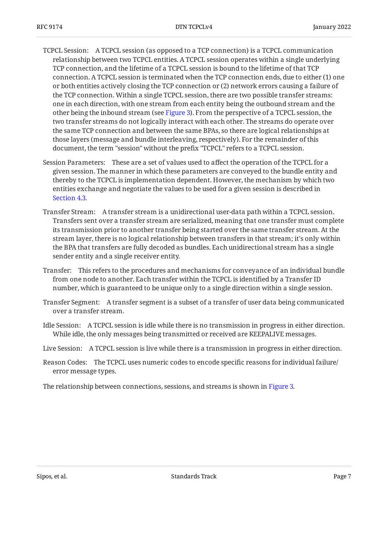- TCPCL Session: A TCPCL session (as opposed to a TCP connection) is a TCPCL communication relationship between two TCPCL entities. A TCPCL session operates within a single underlying TCP connection, and the lifetime of a TCPCL session is bound to the lifetime of that TCP connection. A TCPCL session is terminated when the TCP connection ends, due to either (1) one or both entities actively closing the TCP connection or (2) network errors causing a failure of the TCP connection. Within a single TCPCL session, there are two possible transfer streams: one in each direction, with one stream from each entity being the outbound stream and the other being the inbound stream (see [Figure 3\)](#page-7-1). From the perspective of a TCPCL session, the two transfer streams do not logically interact with each other. The streams do operate over the same TCP connection and between the same BPAs, so there are logical relationships at those layers (message and bundle interleaving, respectively). For the remainder of this document, the term "session" without the prefix "TCPCL" refers to a TCPCL session.
- Session Parameters: These are a set of values used to affect the operation of the TCPCL for a given session. The manner in which these parameters are conveyed to the bundle entity and thereby to the TCPCL is implementation dependent. However, the mechanism by which two entities exchange and negotiate the values to be used for a given session is described in [Section 4.3](#page-21-0).
- Transfer Stream: A transfer stream is a unidirectional user-data path within a TCPCL session. Transfers sent over a transfer stream are serialized, meaning that one transfer must complete its transmission prior to another transfer being started over the same transfer stream. At the stream layer, there is no logical relationship between transfers in that stream; it's only within the BPA that transfers are fully decoded as bundles. Each unidirectional stream has a single sender entity and a single receiver entity.
- Transfer: This refers to the procedures and mechanisms for conveyance of an individual bundle from one node to another. Each transfer within the TCPCL is identified by a Transfer ID number, which is guaranteed to be unique only to a single direction within a single session.
- Transfer Segment: A transfer segment is a subset of a transfer of user data being communicated over a transfer stream.
- Idle Session: A TCPCL session is idle while there is no transmission in progress in either direction. While idle, the only messages being transmitted or received are KEEPALIVE messages.
- Live Session: A TCPCL session is live while there is a transmission in progress in either direction.
- Reason Codes: The TCPCL uses numeric codes to encode specific reasons for individual failure/ error message types.

<span id="page-6-0"></span>The relationship between connections, sessions, and streams is shown in [Figure 3.](#page-7-1)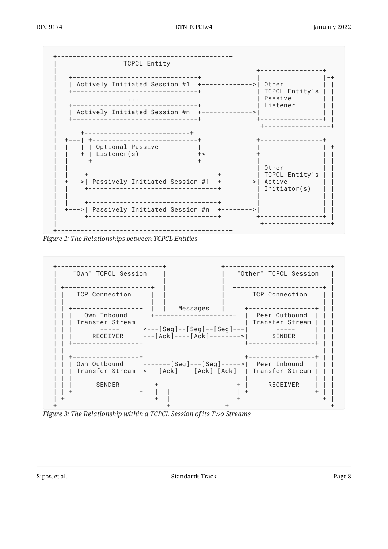<span id="page-7-0"></span>

Figure 2: The Relationships between TCPCL Entities

<span id="page-7-1"></span>

Figure 3: The Relationship within a TCPCL Session of its Two Streams

Standards Track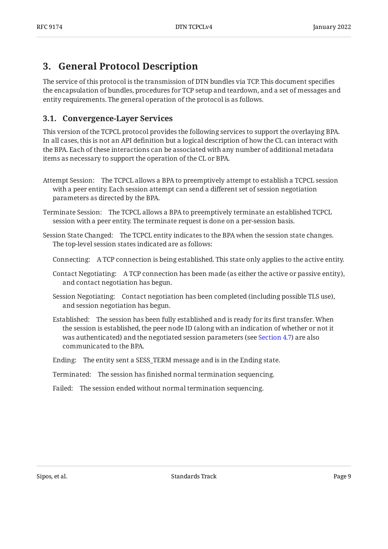## <span id="page-8-0"></span>**[3. General Protocol Description](#page-8-0)**

The service of this protocol is the transmission of DTN bundles via TCP. This document specifies the encapsulation of bundles, procedures for TCP setup and teardown, and a set of messages and entity requirements. The general operation of the protocol is as follows.

### <span id="page-8-1"></span>**[3.1. Convergence-Layer Services](#page-8-1)**

This version of the TCPCL protocol provides the following services to support the overlaying BPA. In all cases, this is not an API definition but a logical description of how the CL can interact with the BPA. Each of these interactions can be associated with any number of additional metadata items as necessary to support the operation of the CL or BPA.

- Attempt Session: The TCPCL allows a BPA to preemptively attempt to establish a TCPCL session with a peer entity. Each session attempt can send a different set of session negotiation parameters as directed by the BPA.
- Terminate Session: The TCPCL allows a BPA to preemptively terminate an established TCPCL session with a peer entity. The terminate request is done on a per-session basis.

Session State Changed: The TCPCL entity indicates to the BPA when the session state changes. The top-level session states indicated are as follows:

- Connecting: A TCP connection is being established. This state only applies to the active entity.
- Contact Negotiating: A TCP connection has been made (as either the active or passive entity), and contact negotiation has begun.
- Session Negotiating: Contact negotiation has been completed (including possible TLS use), and session negotiation has begun.
- Established: The session has been fully established and is ready for its first transfer. When the session is established, the peer node ID (along with an indication of whether or not it was authenticated) and the negotiated session parameters (see [Section 4.7\)](#page-31-0) are also communicated to the BPA.
- Ending: The entity sent a SESS\_TERM message and is in the Ending state.
- Terminated: The session has finished normal termination sequencing.
- Failed: The session ended without normal termination sequencing.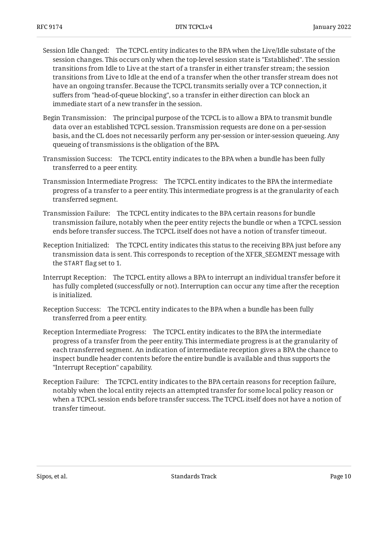- Session Idle Changed: The TCPCL entity indicates to the BPA when the Live/Idle substate of the session changes. This occurs only when the top-level session state is "Established". The session transitions from Idle to Live at the start of a transfer in either transfer stream; the session transitions from Live to Idle at the end of a transfer when the other transfer stream does not have an ongoing transfer. Because the TCPCL transmits serially over a TCP connection, it suffers from "head-of-queue blocking", so a transfer in either direction can block an immediate start of a new transfer in the session.
- Begin Transmission: The principal purpose of the TCPCL is to allow a BPA to transmit bundle data over an established TCPCL session. Transmission requests are done on a per-session basis, and the CL does not necessarily perform any per-session or inter-session queueing. Any queueing of transmissions is the obligation of the BPA.
- Transmission Success: The TCPCL entity indicates to the BPA when a bundle has been fully transferred to a peer entity.
- Transmission Intermediate Progress: The TCPCL entity indicates to the BPA the intermediate progress of a transfer to a peer entity. This intermediate progress is at the granularity of each transferred segment.
- Transmission Failure: The TCPCL entity indicates to the BPA certain reasons for bundle transmission failure, notably when the peer entity rejects the bundle or when a TCPCL session ends before transfer success. The TCPCL itself does not have a notion of transfer timeout.
- Reception Initialized: The TCPCL entity indicates this status to the receiving BPA just before any transmission data is sent. This corresponds to reception of the XFER\_SEGMENT message with the START flag set to 1.
- Interrupt Reception: The TCPCL entity allows a BPA to interrupt an individual transfer before it has fully completed (successfully or not). Interruption can occur any time after the reception is initialized.
- Reception Success: The TCPCL entity indicates to the BPA when a bundle has been fully transferred from a peer entity.
- Reception Intermediate Progress: The TCPCL entity indicates to the BPA the intermediate progress of a transfer from the peer entity. This intermediate progress is at the granularity of each transferred segment. An indication of intermediate reception gives a BPA the chance to inspect bundle header contents before the entire bundle is available and thus supports the "Interrupt Reception" capability.
- Reception Failure: The TCPCL entity indicates to the BPA certain reasons for reception failure, notably when the local entity rejects an attempted transfer for some local policy reason or when a TCPCL session ends before transfer success. The TCPCL itself does not have a notion of transfer timeout.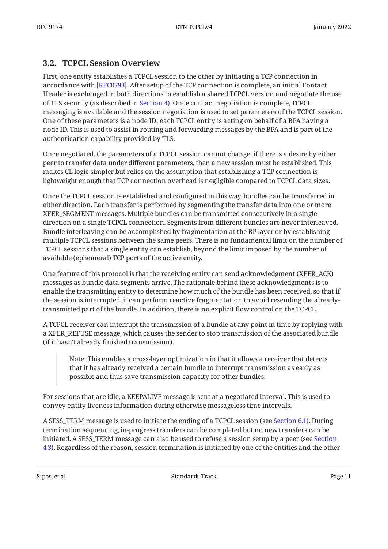### <span id="page-10-0"></span>**[3.2. TCPCL Session Overview](#page-10-0)**

First, one entity establishes a TCPCL session to the other by initiating a TCP connection in accordance with [\[RFC0793](#page-54-4)]. After setup of the TCP connection is complete, an initial Contact Header is exchanged in both directions to establish a shared TCPCL version and negotiate the use of TLS security (as described in [Section 4](#page-19-0)). Once contact negotiation is complete, TCPCL messaging is available and the session negotiation is used to set parameters of the TCPCL session. One of these parameters is a node ID; each TCPCL entity is acting on behalf of a BPA having a node ID. This is used to assist in routing and forwarding messages by the BPA and is part of the authentication capability provided by TLS.

Once negotiated, the parameters of a TCPCL session cannot change; if there is a desire by either peer to transfer data under different parameters, then a new session must be established. This makes CL logic simpler but relies on the assumption that establishing a TCP connection is lightweight enough that TCP connection overhead is negligible compared to TCPCL data sizes.

Once the TCPCL session is established and configured in this way, bundles can be transferred in either direction. Each transfer is performed by segmenting the transfer data into one or more XFER\_SEGMENT messages. Multiple bundles can be transmitted consecutively in a single direction on a single TCPCL connection. Segments from different bundles are never interleaved. Bundle interleaving can be accomplished by fragmentation at the BP layer or by establishing multiple TCPCL sessions between the same peers. There is no fundamental limit on the number of TCPCL sessions that a single entity can establish, beyond the limit imposed by the number of available (ephemeral) TCP ports of the active entity.

One feature of this protocol is that the receiving entity can send acknowledgment (XFER\_ACK) messages as bundle data segments arrive. The rationale behind these acknowledgments is to enable the transmitting entity to determine how much of the bundle has been received, so that if the session is interrupted, it can perform reactive fragmentation to avoid resending the alreadytransmitted part of the bundle. In addition, there is no explicit flow control on the TCPCL.

A TCPCL receiver can interrupt the transmission of a bundle at any point in time by replying with a XFER\_REFUSE message, which causes the sender to stop transmission of the associated bundle (if it hasn't already finished transmission).

Note: This enables a cross-layer optimization in that it allows a receiver that detects that it has already received a certain bundle to interrupt transmission as early as possible and thus save transmission capacity for other bundles.

For sessions that are idle, a KEEPALIVE message is sent at a negotiated interval. This is used to convey entity liveness information during otherwise messageless time intervals.

A SESS\_TERM message is used to initiate the ending of a TCPCL session (see [Section 6.1](#page-42-0)). During termination sequencing, in-progress transfers can be completed but no new transfers can be initiated. A SESS\_TERM message can also be used to refuse a session setup by a peer (see [Section](#page-21-0) [4.3\)](#page-21-0). Regardless of the reason, session termination is initiated by one of the entities and the other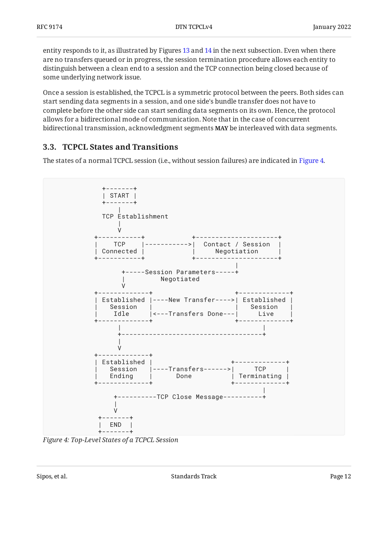entity responds to it, as illustrated by Figures [13](#page-15-1) and [14](#page-15-2) in the next subsection. Even when there are no transfers queued or in progress, the session termination procedure allows each entity to distinguish between a clean end to a session and the TCP connection being closed because of some underlying network issue.

Once a session is established, the TCPCL is a symmetric protocol between the peers. Both sides can start sending data segments in a session, and one side's bundle transfer does not have to complete before the other side can start sending data segments on its own. Hence, the protocol allows for a bidirectional mode of communication. Note that in the case of concurrent bidirectional transmission, acknowledgment segments MAY be interleaved with data segments.

### <span id="page-11-0"></span>**[3.3. TCPCL States and Transitions](#page-11-0)**

The states of a normal TCPCL session (i.e., without session failures) are indicated in [Figure 4.](#page-11-1)

<span id="page-11-1"></span>

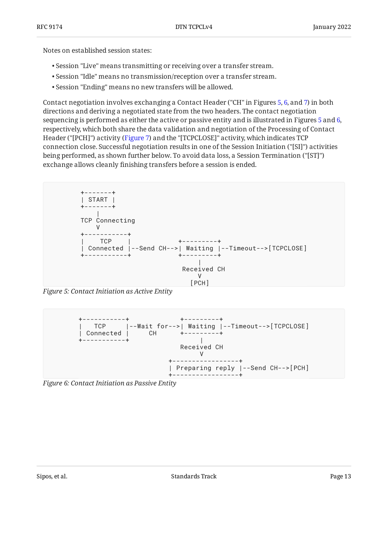Notes on established session states:

- Session "Live" means transmitting or receiving over a transfer stream. •
- Session "Idle" means no transmission/reception over a transfer stream. •
- Session "Ending" means no new transfers will be allowed. •

Contact negotiation involves exchanging a Contact Header ("CH" in Figures [5](#page-12-0), [6,](#page-12-1) and [7](#page-13-0)) in both directions and deriving a negotiated state from the two headers. The contact negotiation sequencing is performed as either the active or passive entity and is illustrated in Figures [5](#page-12-0) and [6,](#page-12-1) respectively, which both share the data validation and negotiation of the Processing of Contact Header ("[PCH]") activity ([Figure 7\)](#page-13-0) and the "[TCPCLOSE]" activity, which indicates TCP connection close. Successful negotiation results in one of the Session Initiation ("[SI]") activities being performed, as shown further below. To avoid data loss, a Session Termination ("[ST]") exchange allows cleanly finishing transfers before a session is ended.

<span id="page-12-0"></span>

*[Figure 5: Contact Initiation as Active Entity](#page-12-0)* 

<span id="page-12-1"></span>

<span id="page-12-2"></span>*[Figure 6: Contact Initiation as Passive Entity](#page-12-1)*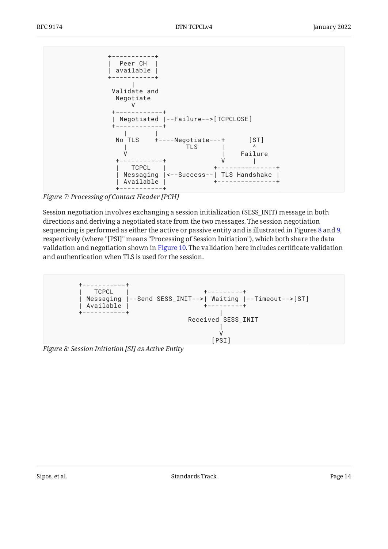<span id="page-13-0"></span>

*[Figure 7:](#page-13-0) [Processing of Contact Header \[PCH\]](#page-12-2)* 

Session negotiation involves exchanging a session initialization (SESS\_INIT) message in both directions and deriving a negotiated state from the two messages. The session negotiation sequencing is performed as either the active or passive entity and is illustrated in Figures [8](#page-13-1) and [9,](#page-14-0) respectively (where "[PSI]" means "Processing of Session Initiation"), which both share the data validation and negotiation shown in [Figure 10.](#page-14-1) The validation here includes certificate validation and authentication when TLS is used for the session.

```
+-----------+
| TCPCL | +---------+
| Messaging |--Send SESS_INIT-->| Waiting |--Timeout-->[ST]
| Available | +---------+
+-----------+ |
                 Received SESS_INIT
 |
 V
                    [PSI]
```
<span id="page-13-2"></span>*[Figure 8: Session Initiation \[SI\] as Active Entity](#page-13-1)*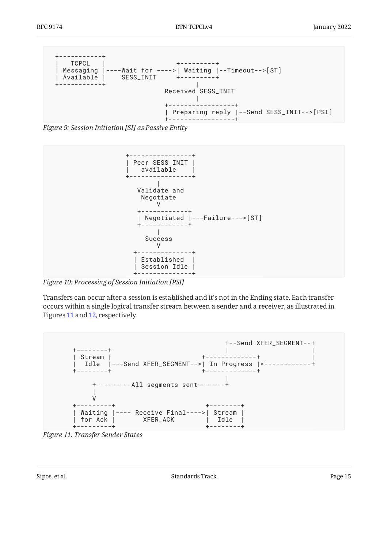<span id="page-14-0"></span>

*[Figure 9:](#page-14-0) [Session Initiation \[SI\] as Passive Entity](#page-13-2)* 

<span id="page-14-1"></span>

*[Figure 10: Processing of Session Initiation \[PSI\]](#page-14-1)* 

Transfers can occur after a session is established and it's not in the Ending state. Each transfer occurs within a single logical transfer stream between a sender and a receiver, as illustrated in Figures [11](#page-14-2) and [12](#page-15-3), respectively.

<span id="page-14-2"></span>

*[Figure 11: Transfer Sender States](#page-14-2)*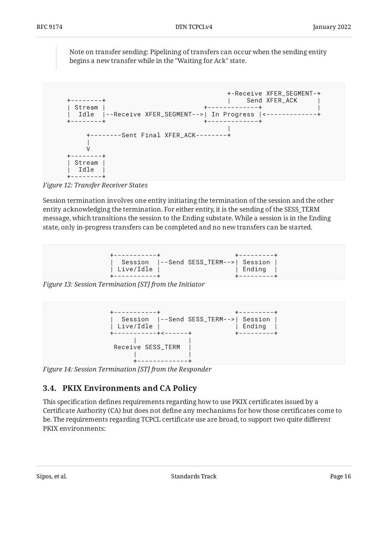Note on transfer sending: Pipelining of transfers can occur when the sending entity begins a new transfer while in the "Waiting for Ack" state.

<span id="page-15-3"></span>

*[Figure 12: Transfer Receiver States](#page-15-3)* 

Session termination involves one entity initiating the termination of the session and the other entity acknowledging the termination. For either entity, it is the sending of the SESS\_TERM message, which transitions the session to the Ending substate. While a session is in the Ending state, only in-progress transfers can be completed and no new transfers can be started.

<span id="page-15-1"></span>

*[Figure 13: Session Termination \[ST\] from the Initiator](#page-15-1)* 

<span id="page-15-2"></span>

<span id="page-15-0"></span>*[Figure 14: Session Termination \[ST\] from the Responder](#page-15-2)* 

## **[3.4. PKIX Environments and CA Policy](#page-15-0)**

This specification defines requirements regarding how to use PKIX certificates issued by a Certificate Authority (CA) but does not define any mechanisms for how those certificates come to be. The requirements regarding TCPCL certificate use are broad, to support two quite different PKIX environments: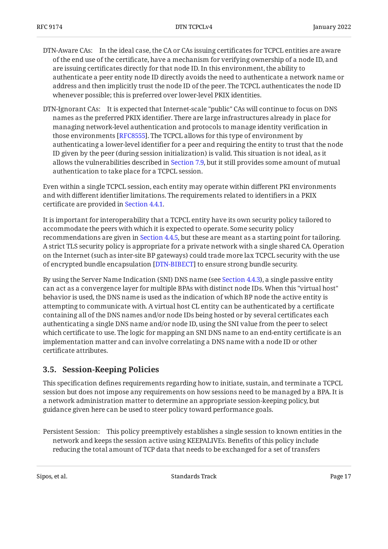- DTN-Aware CAs: In the ideal case, the CA or CAs issuing certificates for TCPCL entities are aware of the end use of the certificate, have a mechanism for verifying ownership of a node ID, and are issuing certificates directly for that node ID. In this environment, the ability to authenticate a peer entity node ID directly avoids the need to authenticate a network name or address and then implicitly trust the node ID of the peer. The TCPCL authenticates the node ID whenever possible; this is preferred over lower-level PKIX identities.
- DTN-Ignorant CAs: It is expected that Internet-scale "public" CAs will continue to focus on DNS names as the preferred PKIX identifier. There are large infrastructures already in place for managing network-level authentication and protocols to manage identity verification in those environments [[RFC8555\]](#page-57-1). The TCPCL allows for this type of environment by authenticating a lower-level identifier for a peer and requiring the entity to trust that the node ID given by the peer (during session initialization) is valid. This situation is not ideal, as it allows the vulnerabilities described in [Section 7.9](#page-46-2), but it still provides some amount of mutual authentication to take place for a TCPCL session.

Even within a single TCPCL session, each entity may operate within different PKI environments and with different identifier limitations. The requirements related to identifiers in a PKIX certificate are provided in [Section 4.4.1.](#page-23-1)

It is important for interoperability that a TCPCL entity have its own security policy tailored to accommodate the peers with which it is expected to operate. Some security policy recommendations are given in [Section 4.4.5,](#page-27-0) but these are meant as a starting point for tailoring. A strict TLS security policy is appropriate for a private network with a single shared CA. Operation on the Internet (such as inter-site BP gateways) could trade more lax TCPCL security with the use of encrypted bundle encapsulation [DTN-BIBECT] to ensure strong bundle security.

By using the Server Name Indication (SNI) DNS name (see [Section 4.4.3\)](#page-25-0), a single passive entity can act as a convergence layer for multiple BPAs with distinct node IDs. When this "virtual host" behavior is used, the DNS name is used as the indication of which BP node the active entity is attempting to communicate with. A virtual host CL entity can be authenticated by a certificate containing all of the DNS names and/or node IDs being hosted or by several certificates each authenticating a single DNS name and/or node ID, using the SNI value from the peer to select which certificate to use. The logic for mapping an SNI DNS name to an end-entity certificate is an implementation matter and can involve correlating a DNS name with a node ID or other certificate attributes.

### <span id="page-16-0"></span>**[3.5. Session-Keeping Policies](#page-16-0)**

This specification defines requirements regarding how to initiate, sustain, and terminate a TCPCL session but does not impose any requirements on how sessions need to be managed by a BPA. It is a network administration matter to determine an appropriate session-keeping policy, but guidance given here can be used to steer policy toward performance goals.

Persistent Session: This policy preemptively establishes a single session to known entities in the network and keeps the session active using KEEPALIVEs. Benefits of this policy include reducing the total amount of TCP data that needs to be exchanged for a set of transfers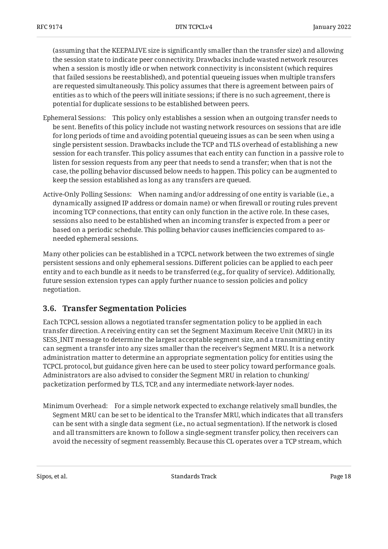(assuming that the KEEPALIVE size is significantly smaller than the transfer size) and allowing the session state to indicate peer connectivity. Drawbacks include wasted network resources when a session is mostly idle or when network connectivity is inconsistent (which requires that failed sessions be reestablished), and potential queueing issues when multiple transfers are requested simultaneously. This policy assumes that there is agreement between pairs of entities as to which of the peers will initiate sessions; if there is no such agreement, there is potential for duplicate sessions to be established between peers.

- Ephemeral Sessions: This policy only establishes a session when an outgoing transfer needs to be sent. Benefits of this policy include not wasting network resources on sessions that are idle for long periods of time and avoiding potential queueing issues as can be seen when using a single persistent session. Drawbacks include the TCP and TLS overhead of establishing a new session for each transfer. This policy assumes that each entity can function in a passive role to listen for session requests from any peer that needs to send a transfer; when that is not the case, the polling behavior discussed below needs to happen. This policy can be augmented to keep the session established as long as any transfers are queued.
- Active-Only Polling Sessions: When naming and/or addressing of one entity is variable (i.e., a dynamically assigned IP address or domain name) or when firewall or routing rules prevent incoming TCP connections, that entity can only function in the active role. In these cases, sessions also need to be established when an incoming transfer is expected from a peer or based on a periodic schedule. This polling behavior causes inefficiencies compared to asneeded ephemeral sessions.

Many other policies can be established in a TCPCL network between the two extremes of single persistent sessions and only ephemeral sessions. Different policies can be applied to each peer entity and to each bundle as it needs to be transferred (e.g., for quality of service). Additionally, future session extension types can apply further nuance to session policies and policy negotiation.

### <span id="page-17-0"></span>**[3.6. Transfer Segmentation Policies](#page-17-0)**

Each TCPCL session allows a negotiated transfer segmentation policy to be applied in each transfer direction. A receiving entity can set the Segment Maximum Receive Unit (MRU) in its SESS\_INIT message to determine the largest acceptable segment size, and a transmitting entity can segment a transfer into any sizes smaller than the receiver's Segment MRU. It is a network administration matter to determine an appropriate segmentation policy for entities using the TCPCL protocol, but guidance given here can be used to steer policy toward performance goals. Administrators are also advised to consider the Segment MRU in relation to chunking/ packetization performed by TLS, TCP, and any intermediate network-layer nodes.

Minimum Overhead: For a simple network expected to exchange relatively small bundles, the Segment MRU can be set to be identical to the Transfer MRU, which indicates that all transfers can be sent with a single data segment (i.e., no actual segmentation). If the network is closed and all transmitters are known to follow a single-segment transfer policy, then receivers can avoid the necessity of segment reassembly. Because this CL operates over a TCP stream, which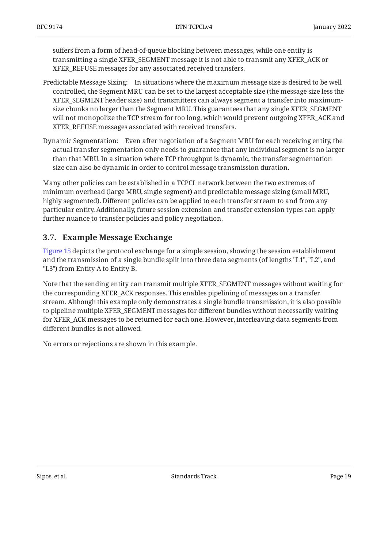suffers from a form of head-of-queue blocking between messages, while one entity is transmitting a single XFER\_SEGMENT message it is not able to transmit any XFER\_ACK or XFER\_REFUSE messages for any associated received transfers.

- Predictable Message Sizing: In situations where the maximum message size is desired to be well controlled, the Segment MRU can be set to the largest acceptable size (the message size less the XFER\_SEGMENT header size) and transmitters can always segment a transfer into maximumsize chunks no larger than the Segment MRU. This guarantees that any single XFER\_SEGMENT will not monopolize the TCP stream for too long, which would prevent outgoing XFER\_ACK and XFER\_REFUSE messages associated with received transfers.
- Dynamic Segmentation: Even after negotiation of a Segment MRU for each receiving entity, the actual transfer segmentation only needs to guarantee that any individual segment is no larger than that MRU. In a situation where TCP throughput is dynamic, the transfer segmentation size can also be dynamic in order to control message transmission duration.

Many other policies can be established in a TCPCL network between the two extremes of minimum overhead (large MRU, single segment) and predictable message sizing (small MRU, highly segmented). Different policies can be applied to each transfer stream to and from any particular entity. Additionally, future session extension and transfer extension types can apply further nuance to transfer policies and policy negotiation.

### <span id="page-18-0"></span>**[3.7. Example Message Exchange](#page-18-0)**

[Figure 15](#page-19-1) depicts the protocol exchange for a simple session, showing the session establishment and the transmission of a single bundle split into three data segments (of lengths "L1", "L2", and "L3") from Entity A to Entity B.

Note that the sending entity can transmit multiple XFER\_SEGMENT messages without waiting for the corresponding XFER\_ACK responses. This enables pipelining of messages on a transfer stream. Although this example only demonstrates a single bundle transmission, it is also possible to pipeline multiple XFER\_SEGMENT messages for different bundles without necessarily waiting for XFER\_ACK messages to be returned for each one. However, interleaving data segments from different bundles is not allowed.

<span id="page-18-1"></span>No errors or rejections are shown in this example.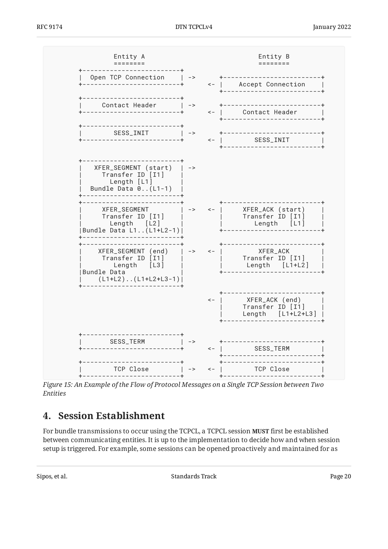<span id="page-19-1"></span>

<span id="page-19-0"></span>*[Figure 15:](#page-19-1) [An Example of the Flow of Protocol Messages on a Single TCP Session between Two](#page-18-1) [Entities](#page-18-1)* 

## **[4. Session Establishment](#page-19-0)**

For bundle transmissions to occur using the TCPCL, a TCPCL session **MUST** first be established between communicating entities. It is up to the implementation to decide how and when session setup is triggered. For example, some sessions can be opened proactively and maintained for as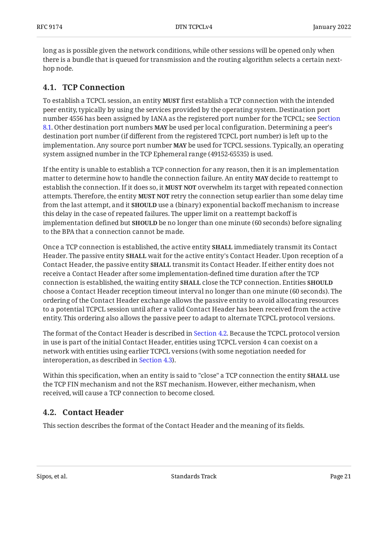long as is possible given the network conditions, while other sessions will be opened only when there is a bundle that is queued for transmission and the routing algorithm selects a certain nexthop node.

### <span id="page-20-0"></span>**[4.1. TCP Connection](#page-20-0)**

To establish a TCPCL session, an entity **MUST** first establish a TCP connection with the intended peer entity, typically by using the services provided by the operating system. Destination port number 4556 has been assigned by IANA as the registered port number for the TCPCL; see [Section](#page-48-5) [8.1.](#page-48-5) Other destination port numbers **MAY** be used per local configuration. Determining a peer's destination port number (if different from the registered TCPCL port number) is left up to the implementation. Any source port number **MAY** be used for TCPCL sessions. Typically, an operating system assigned number in the TCP Ephemeral range (49152-65535) is used.

If the entity is unable to establish a TCP connection for any reason, then it is an implementation matter to determine how to handle the connection failure. An entity **MAY** decide to reattempt to establish the connection. If it does so, it **MUST NOT** overwhelm its target with repeated connection attempts. Therefore, the entity MUST NOT retry the connection setup earlier than some delay time from the last attempt, and it **SHOULD** use a (binary) exponential backoff mechanism to increase this delay in the case of repeated failures. The upper limit on a reattempt backoff is implementation defined but **SHOULD** be no longer than one minute (60 seconds) before signaling to the BPA that a connection cannot be made.

Once a TCP connection is established, the active entity **SHALL** immediately transmit its Contact Header. The passive entity **SHALL** wait for the active entity's Contact Header. Upon reception of a Contact Header, the passive entity **SHALL** transmit its Contact Header. If either entity does not receive a Contact Header after some implementation-defined time duration after the TCP connection is established, the waiting entity close the TCP connection. Entities **SHALL SHOULD** choose a Contact Header reception timeout interval no longer than one minute (60 seconds). The ordering of the Contact Header exchange allows the passive entity to avoid allocating resources to a potential TCPCL session until after a valid Contact Header has been received from the active entity. This ordering also allows the passive peer to adapt to alternate TCPCL protocol versions.

The format of the Contact Header is described in [Section 4.2.](#page-20-1) Because the TCPCL protocol version in use is part of the initial Contact Header, entities using TCPCL version 4 can coexist on a network with entities using earlier TCPCL versions (with some negotiation needed for interoperation, as described in [Section 4.3\)](#page-21-0).

Within this specification, when an entity is said to "close" a TCP connection the entity **SHALL** use the TCP FIN mechanism and not the RST mechanism. However, either mechanism, when received, will cause a TCP connection to become closed.

### <span id="page-20-1"></span>**[4.2. Contact Header](#page-20-1)**

This section describes the format of the Contact Header and the meaning of its fields.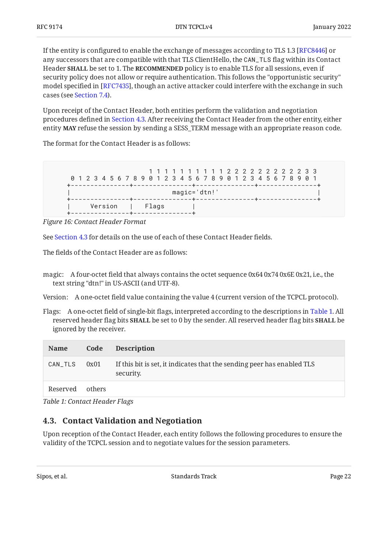If the entity is configured to enable the exchange of messages according to TLS 1.3 [RFC8446] or any successors that are compatible with that TLS ClientHello, the CAN\_TLS flag within its Contact Header **SHALL** be set to 1. The **RECOMMENDED** policy is to enable TLS for all sessions, even if security policy does not allow or require authentication. This follows the "opportunistic security" model specified in [RFC7435], though an active attacker could interfere with the exchange in such cases (see [Section 7.4\)](#page-45-1).

Upon receipt of the Contact Header, both entities perform the validation and negotiation procedures defined in [Section 4.3.](#page-21-0) After receiving the Contact Header from the other entity, either entity **MAY** refuse the session by sending a SESS\_TERM message with an appropriate reason code.

The format for the Contact Header is as follows:

<span id="page-21-1"></span>

*[Figure 16: Contact Header Format](#page-21-1)* 

See [Section 4.3](#page-21-0) for details on the use of each of these Contact Header fields.

The fields of the Contact Header are as follows:

magic: A four-octet field that always contains the octet sequence 0x64 0x74 0x6E 0x21, i.e., the text string "dtn!" in US-ASCII (and UTF-8).

Version: A one-octet field value containing the value 4 (current version of the TCPCL protocol).

Flags: A one-octet field of single-bit flags, interpreted according to the descriptions in [Table 1](#page-21-2). All  $\boldsymbol{\Gamma}$  reserved header flag bits <code>SHALL</code> be set to 0 by the sender. All reserved header flag bits <code>SHALL</code> be ignored by the receiver.

<span id="page-21-2"></span>

| <b>Name</b> | Code   | <b>Description</b>                                                                  |
|-------------|--------|-------------------------------------------------------------------------------------|
| CAN_TLS     | 0x01   | If this bit is set, it indicates that the sending peer has enabled TLS<br>security. |
| Reserved    | others |                                                                                     |

<span id="page-21-0"></span>*[Table 1: Contact Header Flags](#page-21-2)* 

## **[4.3. Contact Validation and Negotiation](#page-21-0)**

Upon reception of the Contact Header, each entity follows the following procedures to ensure the validity of the TCPCL session and to negotiate values for the session parameters.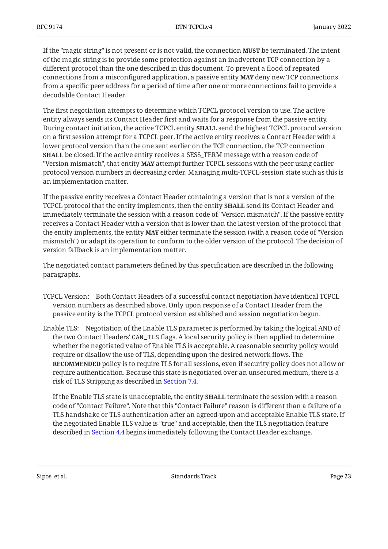If the "magic string" is not present or is not valid, the connection **MUST** be terminated. The intent of the magic string is to provide some protection against an inadvertent TCP connection by a different protocol than the one described in this document. To prevent a flood of repeated connections from a misconfigured application, a passive entity **MAY** deny new TCP connections from a specific peer address for a period of time after one or more connections fail to provide a decodable Contact Header.

The first negotiation attempts to determine which TCPCL protocol version to use. The active entity always sends its Contact Header first and waits for a response from the passive entity. During contact initiation, the active TCPCL entity **SHALL** send the highest TCPCL protocol version on a first session attempt for a TCPCL peer. If the active entity receives a Contact Header with a lower protocol version than the one sent earlier on the TCP connection, the TCP connection **SHALL** be closed. If the active entity receives a SESS\_TERM message with a reason code of "Version mismatch", that entity **MAY** attempt further TCPCL sessions with the peer using earlier protocol version numbers in decreasing order. Managing multi-TCPCL-session state such as this is an implementation matter.

If the passive entity receives a Contact Header containing a version that is not a version of the TCPCL protocol that the entity implements, then the entity **SHALL** send its Contact Header and immediately terminate the session with a reason code of "Version mismatch". If the passive entity receives a Contact Header with a version that is lower than the latest version of the protocol that the entity implements, the entity **MAY** either terminate the session (with a reason code of "Version mismatch") or adapt its operation to conform to the older version of the protocol. The decision of version fallback is an implementation matter.

The negotiated contact parameters defined by this specification are described in the following paragraphs.

- TCPCL Version: Both Contact Headers of a successful contact negotiation have identical TCPCL version numbers as described above. Only upon response of a Contact Header from the passive entity is the TCPCL protocol version established and session negotiation begun.
- Enable TLS: Negotiation of the Enable TLS parameter is performed by taking the logical AND of the two Contact Headers' CAN\_TLS flags. A local security policy is then applied to determine whether the negotiated value of Enable TLS is acceptable. A reasonable security policy would require or disallow the use of TLS, depending upon the desired network flows. The **RECOMMENDED** policy is to require TLS for all sessions, even if security policy does not allow or require authentication. Because this state is negotiated over an unsecured medium, there is a risk of TLS Stripping as described in [Section 7.4](#page-45-1).

If the Enable TLS state is unacceptable, the entity **SHALL** terminate the session with a reason code of "Contact Failure". Note that this "Contact Failure" reason is different than a failure of a TLS handshake or TLS authentication after an agreed-upon and acceptable Enable TLS state. If the negotiated Enable TLS value is "true" and acceptable, then the TLS negotiation feature described in [Section 4.4](#page-23-0) begins immediately following the Contact Header exchange.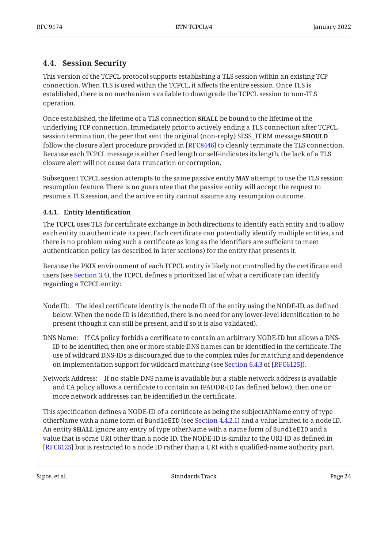## <span id="page-23-0"></span>**[4.4. Session Security](#page-23-0)**

This version of the TCPCL protocol supports establishing a TLS session within an existing TCP connection. When TLS is used within the TCPCL, it affects the entire session. Once TLS is established, there is no mechanism available to downgrade the TCPCL session to non-TLS operation.

Once established, the lifetime of a TLS connection **SHALL** be bound to the lifetime of the underlying TCP connection. Immediately prior to actively ending a TLS connection after TCPCL session termination, the peer that sent the original (non-reply) SESS\_TERM message **SHOULD** follow the closure alert procedure provided in [RFC8446] to cleanly terminate the TLS connection. Because each TCPCL message is either fixed length or self-indicates its length, the lack of a TLS closure alert will not cause data truncation or corruption.

Subsequent TCPCL session attempts to the same passive entity **MAY** attempt to use the TLS session resumption feature. There is no guarantee that the passive entity will accept the request to resume a TLS session, and the active entity cannot assume any resumption outcome.

#### <span id="page-23-1"></span>**[4.4.1. Entity Identi](#page-23-1)fication**

The TCPCL uses TLS for certificate exchange in both directions to identify each entity and to allow each entity to authenticate its peer. Each certificate can potentially identify multiple entities, and there is no problem using such a certificate as long as the identifiers are sufficient to meet authentication policy (as described in later sections) for the entity that presents it.

Because the PKIX environment of each TCPCL entity is likely not controlled by the certificate end users (see [Section 3.4](#page-15-0)), the TCPCL defines a prioritized list of what a certificate can identify regarding a TCPCL entity:

- Node ID: The ideal certificate identity is the node ID of the entity using the NODE-ID, as defined below. When the node ID is identified, there is no need for any lower-level identification to be present (though it can still be present, and if so it is also validated).
- DNS Name: If CA policy forbids a certificate to contain an arbitrary NODE-ID but allows a DNS-ID to be identified, then one or more stable DNS names can be identified in the certificate. The use of wildcard DNS-IDs is discouraged due to the complex rules for matching and dependence onimplementation support for wildcard matching (see Section  $6.4.3$  of [RFC6125]).
- Network Address: If no stable DNS name is available but a stable network address is available and CA policy allows a certificate to contain an IPADDR-ID (as defined below), then one or more network addresses can be identified in the certificate.

This specification defines a NODE-ID of a certificate as being the subjectAltName entry of type otherName with a name form of BundleEID (see [Section 4.4.2.1](#page-25-1)) and a value limited to a node ID. An entity **SHALL** ignore any entry of type otherName with a name form of BundleEID and a value that is some URI other than a node ID. The NODE-ID is similar to the URI-ID as defined in [[RFC6125\]](#page-55-5) but is restricted to a node ID rather than a URI with a qualified-name authority part.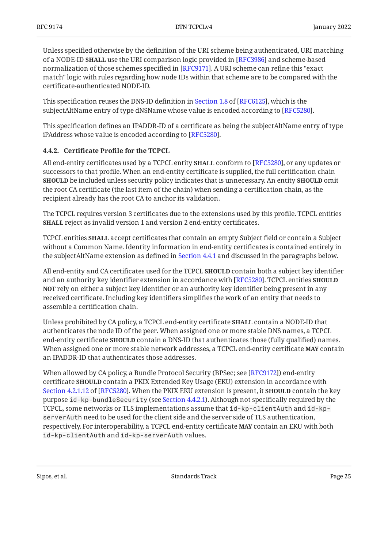Unless specified otherwise by the definition of the URI scheme being authenticated, URI matching of a NODE-ID **SHALL** use the URI comparison logic provided in [RFC3986] and scheme-based normalization of those schemes specified in [RFC9171]. A URI scheme can refine this "exact match" logic with rules regarding how node IDs within that scheme are to be compared with the certificate-authenticated NODE-ID.

Thisspecification reuses the DNS-ID definition in Section 1.8 of [RFC6125], which is the  $\mathop{\mathrm{subjectAlt}}$ Name entry of type dNSName whose value is encoded according to [RFC5280].

This specification defines an IPADDR-ID of a certificate as being the subjectAltName entry of type iPAddress whose value is encoded according to [RFC5280].

#### <span id="page-24-0"></span>**[4.4.2. C](#page-24-0)ertificate Profi[le for the TCPCL](#page-24-0)**

All end-entity certificates used by a TCPCL entity **SHALL** conform to [RFC5280], or any updates or successors to that profile. When an end-entity certificate is supplied, the full certification chain **SHOULD** be included unless security policy indicates that is unnecessary. An entity **SHOULD** omit the root CA certificate (the last item of the chain) when sending a certification chain, as the recipient already has the root CA to anchor its validation.

The TCPCL requires version 3 certificates due to the extensions used by this profile. TCPCL entities **SHALL** reject as invalid version 1 and version 2 end-entity certificates.

<code>TCPCL</code> entities <code>SHALL</code> accept certificates that contain an empty Subject field or contain a Subject without a Common Name. Identity information in end-entity certificates is contained entirely in the subjectAltName extension as defined in [Section 4.4.1](#page-23-1) and discussed in the paragraphs below.

All end-entity and CA certificates used for the TCPCL **SHOULD** contain both a subject key identifier and an authority key identifier extension in accordance with [RFC5280]. TCPCL entities **SHOULD NOT** rely on either a subject key identifier or an authority key identifier being present in any received certificate. Including key identifiers simplifies the work of an entity that needs to assemble a certification chain.

Unless prohibited by CA policy, a TCPCL end-entity certificate **SHALL** contain a NODE-ID that authenticates the node ID of the peer. When assigned one or more stable DNS names, a TCPCL end-entity certificate **SHOULD** contain a DNS-ID that authenticates those (fully qualified) names. When assigned one or more stable network addresses, a TCPCL end-entity certificate **MAY** contain an IPADDR-ID that authenticates those addresses.

When allowed by CA policy, a Bundle Protocol Security (BPSec; see [RFC9172]) end-entity certificate **SHOULD** contain a PKIX Extended Key Usage (EKU) extension in accordance with [Section 4.2.1.12](https://www.rfc-editor.org/rfc/rfc5280#section-4.2.1.12) of [\[RFC5280](#page-55-7)]. When the PKIX EKU extension is present, it **SHOULD** contain the key purpose id-kp-bundleSecurity (see [Section 4.4.2.1\)](#page-25-1). Although not specifically required by the TCPCL, some networks or TLS implementations assume that id-kp-clientAuth and id-kpserverAuth need to be used for the client side and the server side of TLS authentication, respectively. For interoperability, a TCPCL end-entity certificate **MAY** contain an EKU with both id-kp-clientAuth and id-kp-serverAuth values.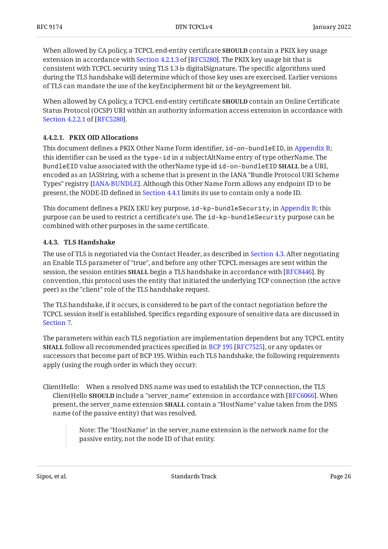When allowed by CA policy, a TCPCL end-entity certificate **SHOULD** contain a PKIX key usage extensionin accordance with Section 4.2.1.3 of [RFC5280]. The PKIX key usage bit that is consistent with TCPCL security using TLS 1.3 is digitalSignature. The specific algorithms used during the TLS handshake will determine which of those key uses are exercised. Earlier versions of TLS can mandate the use of the keyEncipherment bit or the keyAgreement bit.

When allowed by CA policy, a TCPCL end-entity certificate **SHOULD** contain an Online Certificate Status Protocol (OCSP) URI within an authority information access extension in accordance with . [Section 4.2.2.1](https://www.rfc-editor.org/rfc/rfc5280#section-4.2.2.1) of [\[RFC5280\]](#page-55-7)

#### <span id="page-25-1"></span>**[4.4.2.1. PKIX OID Allocations](#page-25-1)**

This document defines a PKIX Other Name Form identifier, id-on-bundleEID, in [Appendix B;](#page-58-0) this identifier can be used as the type-id in a subjectAltName entry of type otherName. The BundleEID value associated with the otherName type-id id-on-bundleEID **SHALL** be a URI, encoded as an IA5String, with a scheme that is present in the IANA "Bundle Protocol URI Scheme Types" registry [IANA-BUNDLE]. Although this Other Name Form allows any endpoint ID to be present, the NODE-ID defined in [Section 4.4.1](#page-23-1) limits its use to contain only a node ID.

This document defines a PKIX EKU key purpose, id-kp-bundleSecurity, in [Appendix B](#page-58-0); this purpose can be used to restrict a certificate's use. The id-kp-bundleSecurity purpose can be combined with other purposes in the same certificate.

#### <span id="page-25-0"></span>**[4.4.3. TLS Handshake](#page-25-0)**

The use of TLS is negotiated via the Contact Header, as described in [Section 4.3.](#page-21-0) After negotiating an Enable TLS parameter of "true", and before any other TCPCL messages are sent within the session, the session entities **SHALL** begin a TLS handshake in accordance with [RFC8446]. By convention, this protocol uses the entity that initiated the underlying TCP connection (the active peer) as the "client" role of the TLS handshake request.

The TLS handshake, if it occurs, is considered to be part of the contact negotiation before the TCPCL session itself is established. Specifics regarding exposure of sensitive data are discussed in [Section 7.](#page-44-1)

The parameters within each TLS negotiation are implementation dependent but any TCPCL entity **SHALL**follow all recommended practices specified in BCP 195 [RFC7525], or any updates or successors that become part of BCP 195. Within each TLS handshake, the following requirements apply (using the rough order in which they occur):

ClientHello: When a resolved DNS name was used to establish the TCP connection, the TLS **ClientHello SHOULD include a "server\_name" extension in accordance with [RFC6066]. When** present, the server\_name extension **SHALL** contain a "HostName" value taken from the DNS name (of the passive entity) that was resolved.

> Note: The "HostName" in the server\_name extension is the network name for the passive entity, not the node ID of that entity.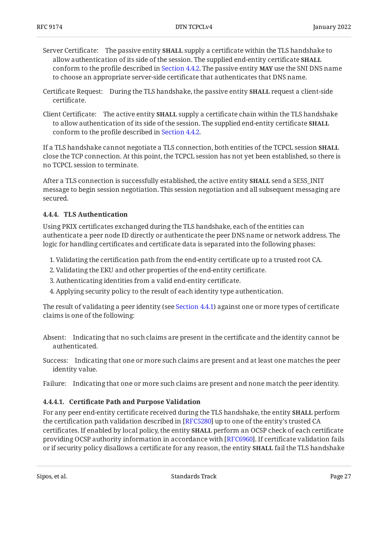- Server Certificate: The passive entity **SHALL** supply a certificate within the TLS handshake to allow authentication of its side of the session. The supplied end-entity certificate **SHALL** conform to the profile described in [Section 4.4.2.](#page-24-0) The passive entity **MAY** use the SNI DNS name to choose an appropriate server-side certificate that authenticates that DNS name.
- Certificate Request: During the TLS handshake, the passive entity **SHALL** request a client-side certificate.
- Client Certificate: The active entity **SHALL** supply a certificate chain within the TLS handshake to allow authentication of its side of the session. The supplied end-entity certificate **SHALL** conform to the profile described in [Section 4.4.2.](#page-24-0)

If a TLS handshake cannot negotiate a TLS connection, both entities of the TCPCL session **SHALL** close the TCP connection. At this point, the TCPCL session has not yet been established, so there is no TCPCL session to terminate.

After a TLS connection is successfully established, the active entity **SHALL** send a SESS\_INIT message to begin session negotiation. This session negotiation and all subsequent messaging are secured.

#### <span id="page-26-0"></span>**[4.4.4. TLS Authentication](#page-26-0)**

Using PKIX certificates exchanged during the TLS handshake, each of the entities can authenticate a peer node ID directly or authenticate the peer DNS name or network address. The logic for handling certificates and certificate data is separated into the following phases:

- Validating the certification path from the end-entity certificate up to a trusted root CA. 1.
- 2. Validating the EKU and other properties of the end-entity certificate.
- Authenticating identities from a valid end-entity certificate. 3.
- 4. Applying security policy to the result of each identity type authentication.

The result of validating a peer identity (see [Section 4.4.1\)](#page-23-1) against one or more types of certificate claims is one of the following:

- Absent: Indicating that no such claims are present in the certificate and the identity cannot be authenticated.
- Success: Indicating that one or more such claims are present and at least one matches the peer identity value.
- Failure: Indicating that one or more such claims are present and none match the peer identity.

#### <span id="page-26-1"></span>**[4.4.4.1.](#page-26-1) Certifi[cate Path and Purpose Validation](#page-26-1)**

For any peer end-entity certificate received during the TLS handshake, the entity **SHALL** perform the certification path validation described in [RFC5280] up to one of the entity's trusted CA certificates. If enabled by local policy, the entity **SHALL** perform an OCSP check of each certificate providing OCSP authority information in accordance with [RFC6960]. If certificate validation fails or if security policy disallows a certificate for any reason, the entity **SHALL** fail the TLS handshake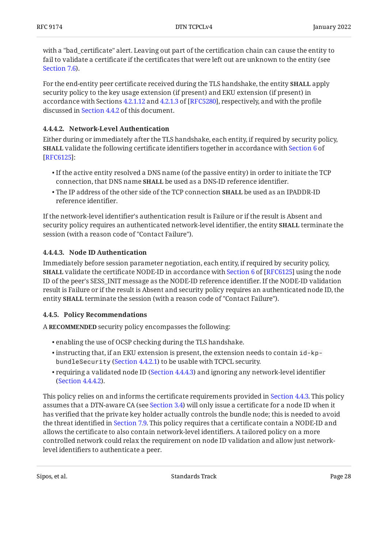with a "bad\_certificate" alert. Leaving out part of the certification chain can cause the entity to fail to validate a certificate if the certificates that were left out are unknown to the entity (see [Section 7.6](#page-45-3)).

For the end-entity peer certificate received during the TLS handshake, the entity **SHALL** apply security policy to the key usage extension (if present) and EKU extension (if present) in accordance with Sections [4.2.1.12](https://www.rfc-editor.org/rfc/rfc5280#section-4.2.1.12) and [4.2.1.3](https://www.rfc-editor.org/rfc/rfc5280#section-4.2.1.3) of [RFC5280], respectively, and with the profile discussed in [Section 4.4.2](#page-24-0) of this document.

#### <span id="page-27-1"></span>**[4.4.4.2. Network-Level Authentication](#page-27-1)**

Either during or immediately after the TLS handshake, each entity, if required by security policy, **SHALL** validate the following certificate identifiers together in accordance with [Section 6](https://www.rfc-editor.org/rfc/rfc6125#section-6) of : [[RFC6125\]](#page-55-5)

- $\bullet$  If the active entity resolved a DNS name (of the passive entity) in order to initiate the TCP connection, that DNS name **SHALL** be used as a DNS-ID reference identifier.
- The IP address of the other side of the TCP connection **SHALL** be used as an IPADDR-ID reference identifier.

If the network-level identifier's authentication result is Failure or if the result is Absent and security policy requires an authenticated network-level identifier, the entity **SHALL** terminate the session (with a reason code of "Contact Failure").

#### <span id="page-27-2"></span>**[4.4.4.3. Node ID Authentication](#page-27-2)**

Immediately before session parameter negotiation, each entity, if required by security policy, **SHALL**validate the certificate NODE-ID in accordance with Section 6 of [RFC6125] using the node ID of the peer's SESS\_INIT message as the NODE-ID reference identifier. If the NODE-ID validation result is Failure or if the result is Absent and security policy requires an authenticated node ID, the entity **SHALL** terminate the session (with a reason code of "Contact Failure").

#### <span id="page-27-0"></span>**[4.4.5. Policy Recommendations](#page-27-0)**

A **RECOMMENDED** security policy encompasses the following:

- enabling the use of OCSP checking during the TLS handshake. •
- $\bullet$  instructing that, if an EKU extension is present, the extension needs to contain <code>id-kp-</code> bundleSecurity ([Section 4.4.2.1](#page-25-1)) to be usable with TCPCL security.
- $\bullet$  requiring a validated node ID [\(Section 4.4.4.3](#page-27-2)) and ignoring any network-level identifier ([Section 4.4.4.2\)](#page-27-1).

This policy relies on and informs the certificate requirements provided in [Section 4.4.3](#page-25-0). This policy assumes that a DTN-aware CA (see [Section 3.4](#page-15-0)) will only issue a certificate for a node ID when it has verified that the private key holder actually controls the bundle node; this is needed to avoid the threat identified in [Section 7.9.](#page-46-2) This policy requires that a certificate contain a NODE-ID and allows the certificate to also contain network-level identifiers. A tailored policy on a more controlled network could relax the requirement on node ID validation and allow just networklevel identifiers to authenticate a peer.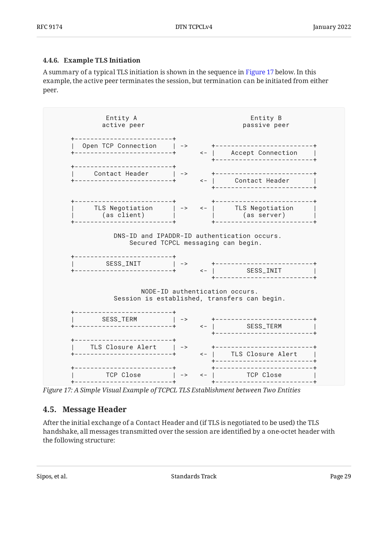#### <span id="page-28-0"></span>**[4.4.6. Example TLS Initiation](#page-28-0)**

A summary of a typical TLS initiation is shown in the sequence in [Figure 17](#page-28-2) below. In this example, the active peer terminates the session, but termination can be initiated from either peer.

<span id="page-28-2"></span>

<span id="page-28-1"></span>*[Figure 17: A Simple Visual Example of TCPCL TLS Establishment between Two Entities](#page-28-2)* 

### **[4.5. Message Header](#page-28-1)**

<span id="page-28-3"></span>After the initial exchange of a Contact Header and (if TLS is negotiated to be used) the TLS handshake, all messages transmitted over the session are identified by a one-octet header with the following structure: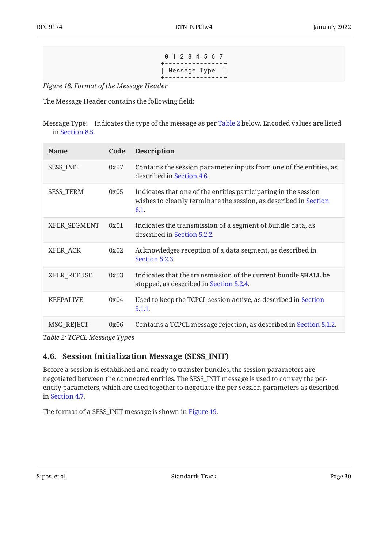0 1 2 3 4 5 6 7 +---------------+ | Message Type | +---------------+

<span id="page-29-1"></span>*[Figure 18:](#page-29-1) [Format of the Message Header](#page-28-3)* 

The Message Header contains the following field:

Message Type: Indicates the type of the message as per [Table 2](#page-29-2) below. Encoded values are listed in [Section 8.5](#page-50-1).

<span id="page-29-2"></span>

| <b>Name</b>        | Code | <b>Description</b>                                                                                                                          |
|--------------------|------|---------------------------------------------------------------------------------------------------------------------------------------------|
| <b>SESS_INIT</b>   | 0x07 | Contains the session parameter inputs from one of the entities, as<br>described in Section 4.6.                                             |
| <b>SESS_TERM</b>   | 0x05 | Indicates that one of the entities participating in the session<br>wishes to cleanly terminate the session, as described in Section<br>6.1. |
| XFER_SEGMENT       | 0x01 | Indicates the transmission of a segment of bundle data, as<br>described in Section 5.2.2.                                                   |
| XFER_ACK           | 0x02 | Acknowledges reception of a data segment, as described in<br>Section 5.2.3.                                                                 |
| <b>XFER_REFUSE</b> | 0x03 | Indicates that the transmission of the current bundle <b>SHALL</b> be<br>stopped, as described in Section 5.2.4.                            |
| <b>KEEPALIVE</b>   | 0x04 | Used to keep the TCPCL session active, as described in Section<br>5.1.1.                                                                    |
| MSG_REJECT         | 0x06 | Contains a TCPCL message rejection, as described in Section 5.1.2.                                                                          |

<span id="page-29-0"></span>*[Table 2: TCPCL Message Types](#page-29-2)* 

### **[4.6. Session Initialization Message \(SESS\\_INIT\)](#page-29-0)**

Before a session is established and ready to transfer bundles, the session parameters are negotiated between the connected entities. The SESS\_INIT message is used to convey the perentity parameters, which are used together to negotiate the per-session parameters as described in [Section 4.7](#page-31-0).

<span id="page-29-3"></span>The format of a SESS\_INIT message is shown in [Figure 19](#page-30-0).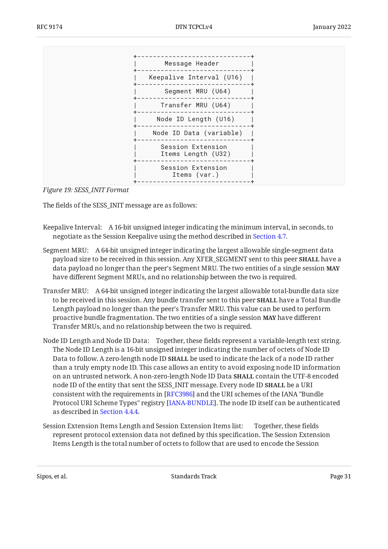<span id="page-30-0"></span>

*[Figure 19:](#page-30-0) [SESS\\_INIT Format](#page-29-3)* 

The fields of the SESS\_INIT message are as follows:

- Keepalive Interval: A 16-bit unsigned integer indicating the minimum interval, in seconds, to negotiate as the Session Keepalive using the method described in [Section 4.7](#page-31-0).
- Segment MRU: A 64-bit unsigned integer indicating the largest allowable single-segment data payload size to be received in this session. Any XFER\_SEGMENT sent to this peer **SHALL** have a data payload no longer than the peer's Segment MRU. The two entities of a single session **MAY** have different Segment MRUs, and no relationship between the two is required.
- Transfer MRU: A 64-bit unsigned integer indicating the largest allowable total-bundle data size to be received in this session. Any bundle transfer sent to this peer **SHALL** have a Total Bundle Length payload no longer than the peer's Transfer MRU. This value can be used to perform proactive bundle fragmentation. The two entities of a single session **MAY** have different Transfer MRUs, and no relationship between the two is required.
- Node ID Length and Node ID Data: Together, these fields represent a variable-length text string. The Node ID Length is a 16-bit unsigned integer indicating the number of octets of Node ID Data to follow. A zero-length node ID **SHALL** be used to indicate the lack of a node ID rather than a truly empty node ID. This case allows an entity to avoid exposing node ID information on an untrusted network. A non-zero-length Node ID Data **SHALL** contain the UTF-8 encoded node ID of the entity that sent the SESS\_INIT message. Every node ID **SHALL** be a URI consistent with the requirements in [RFC3986] and the URI schemes of the IANA "Bundle Protocol URI Scheme Types" registry [\[IANA-BUNDLE](#page-54-5)]. The node ID itself can be authenticated as described in [Section 4.4.4.](#page-26-0)
- Session Extension Items Length and Session Extension Items list: Together, these fields represent protocol extension data not defined by this specification. The Session Extension Items Length is the total number of octets to follow that are used to encode the Session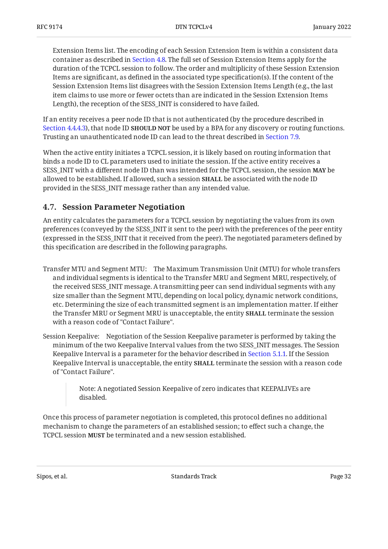Extension Items list. The encoding of each Session Extension Item is within a consistent data container as described in [Section 4.8](#page-32-0). The full set of Session Extension Items apply for the duration of the TCPCL session to follow. The order and multiplicity of these Session Extension Items are significant, as defined in the associated type specification(s). If the content of the Session Extension Items list disagrees with the Session Extension Items Length (e.g., the last item claims to use more or fewer octets than are indicated in the Session Extension Items Length), the reception of the SESS\_INIT is considered to have failed.

If an entity receives a peer node ID that is not authenticated (by the procedure described in [Section 4.4.4.3](#page-27-2)), that node ID **SHOULD NOT** be used by a BPA for any discovery or routing functions. Trusting an unauthenticated node ID can lead to the threat described in [Section 7.9](#page-46-2).

When the active entity initiates a TCPCL session, it is likely based on routing information that binds a node ID to CL parameters used to initiate the session. If the active entity receives a SESS\_INIT with a different node ID than was intended for the TCPCL session, the session **MAY** be allowed to be established. If allowed, such a session **SHALL** be associated with the node ID provided in the SESS\_INIT message rather than any intended value.

### <span id="page-31-0"></span>**[4.7. Session Parameter Negotiation](#page-31-0)**

An entity calculates the parameters for a TCPCL session by negotiating the values from its own preferences (conveyed by the SESS\_INIT it sent to the peer) with the preferences of the peer entity (expressed in the SESS\_INIT that it received from the peer). The negotiated parameters defined by this specification are described in the following paragraphs.

- Transfer MTU and Segment MTU: The Maximum Transmission Unit (MTU) for whole transfers and individual segments is identical to the Transfer MRU and Segment MRU, respectively, of the received SESS\_INIT message. A transmitting peer can send individual segments with any size smaller than the Segment MTU, depending on local policy, dynamic network conditions, etc. Determining the size of each transmitted segment is an implementation matter. If either the Transfer MRU or Segment MRU is unacceptable, the entity **SHALL** terminate the session with a reason code of "Contact Failure".
- Session Keepalive: Negotiation of the Session Keepalive parameter is performed by taking the minimum of the two Keepalive Interval values from the two SESS\_INIT messages. The Session Keepalive Interval is a parameter for the behavior described in [Section 5.1.1.](#page-33-2) If the Session Keepalive Interval is unacceptable, the entity **SHALL** terminate the session with a reason code of "Contact Failure".

Note: A negotiated Session Keepalive of zero indicates that KEEPALIVEs are disabled.

Once this process of parameter negotiation is completed, this protocol defines no additional mechanism to change the parameters of an established session; to effect such a change, the TCPCL session **MUST** be terminated and a new session established.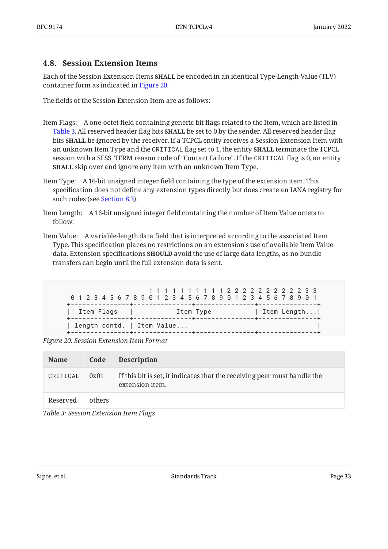#### <span id="page-32-0"></span>**[4.8. Session Extension Items](#page-32-0)**

Each of the Session Extension Items **SHALL** be encoded in an identical Type-Length-Value (TLV) container form as indicated in [Figure 20.](#page-32-1)

The fields of the Session Extension Item are as follows:

- Item Flags: A one-octet field containing generic bit flags related to the Item, which are listed in [Table 3.](#page-32-2) All reserved header flag bits **SHALL** be set to 0 by the sender. All reserved header flag bits **SHALL** be ignored by the receiver. If a TCPCL entity receives a Session Extension Item with an unknown Item Type and the <code>CRITICAL</code> flag set to 1, the entity **SHALL** terminate the TCPCL session with a SESS\_TERM reason code of "Contact Failure". If the CRITICAL flag is 0, an entity **SHALL** skip over and ignore any item with an unknown Item Type.
- Item Type: A 16-bit unsigned integer field containing the type of the extension item. This specification does not define any extension types directly but does create an IANA registry for such codes (see [Section 8.3](#page-49-1)).
- Item Length: A 16-bit unsigned integer field containing the number of Item Value octets to follow.
- Item Value: A variable-length data field that is interpreted according to the associated Item Type. This specification places no restrictions on an extension's use of available Item Value data. Extension specifications **SHOULD** avoid the use of large data lengths, as no bundle transfers can begin until the full extension data is sent.

```
 1 1 1 1 1 1 1 1 1 1 2 2 2 2 2 2 2 2 2 2 3 3
 0 1 2 3 4 5 6 7 8 9 0 1 2 3 4 5 6 7 8 9 0 1 2 3 4 5 6 7 8 9 0 1
+---------------+---------------+---------------+---------------+
| Item Flags | Item Type | Item Length...|
+---------------+---------------+---------------+---------------+
| length contd. | Item Value...
+---------------+---------------+---------------+---------------+
```
*[Figure 20: Session Extension Item Format](#page-32-1)* 

<span id="page-32-2"></span>

| Name     | Code   | <b>Description</b>                                                                          |
|----------|--------|---------------------------------------------------------------------------------------------|
| CRITICAL | 0x01   | If this bit is set, it indicates that the receiving peer must handle the<br>extension item. |
| Reserved | others |                                                                                             |

*[Table 3: Session Extension Item Flags](#page-32-2)*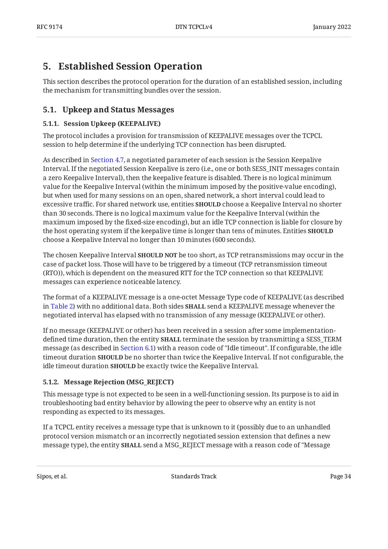## <span id="page-33-0"></span>**[5. Established Session Operation](#page-33-0)**

This section describes the protocol operation for the duration of an established session, including the mechanism for transmitting bundles over the session.

## <span id="page-33-2"></span><span id="page-33-1"></span>**[5.1. Upkeep and Status Messages](#page-33-1)**

#### **[5.1.1. Session Upkeep \(KEEPALIVE\)](#page-33-2)**

The protocol includes a provision for transmission of KEEPALIVE messages over the TCPCL session to help determine if the underlying TCP connection has been disrupted.

As described in [Section 4.7](#page-31-0), a negotiated parameter of each session is the Session Keepalive Interval. If the negotiated Session Keepalive is zero (i.e., one or both SESS\_INIT messages contain a zero Keepalive Interval), then the keepalive feature is disabled. There is no logical minimum value for the Keepalive Interval (within the minimum imposed by the positive-value encoding), but when used for many sessions on an open, shared network, a short interval could lead to excessive traffic. For shared network use, entities **SHOULD** choose a Keepalive Interval no shorter than 30 seconds. There is no logical maximum value for the Keepalive Interval (within the maximum imposed by the fixed-size encoding), but an idle TCP connection is liable for closure by the host operating system if the keepalive time is longer than tens of minutes. Entities **SHOULD** choose a Keepalive Interval no longer than 10 minutes (600 seconds).

The chosen Keepalive Interval **SHOULD NOT** be too short, as TCP retransmissions may occur in the case of packet loss. Those will have to be triggered by a timeout (TCP retransmission timeout (RTO)), which is dependent on the measured RTT for the TCP connection so that KEEPALIVE messages can experience noticeable latency.

The format of a KEEPALIVE message is a one-octet Message Type code of KEEPALIVE (as described in [Table 2\)](#page-29-2) with no additional data. Both sides **SHALL** send a KEEPALIVE message whenever the negotiated interval has elapsed with no transmission of any message (KEEPALIVE or other).

If no message (KEEPALIVE or other) has been received in a session after some implementationdefined time duration, then the entity **SHALL** terminate the session by transmitting a SESS\_TERM message (as described in [Section 6.1](#page-42-0)) with a reason code of "Idle timeout". If configurable, the idle timeout duration **SHOULD** be no shorter than twice the Keepalive Interval. If not configurable, the idle timeout duration **SHOULD** be exactly twice the Keepalive Interval.

#### <span id="page-33-3"></span>**[5.1.2. Message Rejection \(MSG\\_REJECT\)](#page-33-3)**

This message type is not expected to be seen in a well-functioning session. Its purpose is to aid in troubleshooting bad entity behavior by allowing the peer to observe why an entity is not responding as expected to its messages.

If a TCPCL entity receives a message type that is unknown to it (possibly due to an unhandled protocol version mismatch or an incorrectly negotiated session extension that defines a new message type), the entity **SHALL** send a MSG\_REJECT message with a reason code of "Message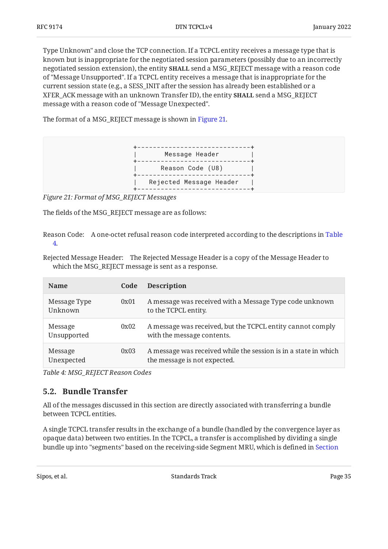Type Unknown" and close the TCP connection. If a TCPCL entity receives a message type that is known but is inappropriate for the negotiated session parameters (possibly due to an incorrectly negotiated session extension), the entity **SHALL** send a MSG\_REJECT message with a reason code of "Message Unsupported". If a TCPCL entity receives a message that is inappropriate for the current session state (e.g., a SESS\_INIT after the session has already been established or a  $\text{XFER}\_\text{ACK}$  message with an unknown Transfer ID), the entity <code>SHALL</code> send a MSG\_REJECT message with a reason code of "Message Unexpected".

The format of a MSG\_REJECT message is shown in [Figure 21.](#page-34-1)

<span id="page-34-1"></span>

*[Figure 21: Format of MSG\\_REJECT Messages](#page-34-1)* 

The fields of the MSG\_REJECT message are as follows:

Reason Code: A one-octet refusal reason code interpreted according to the descriptions in [Table](#page-34-2) [4](#page-34-2).

Rejected Message Header: The Rejected Message Header is a copy of the Message Header to which the MSG REJECT message is sent as a response.

<span id="page-34-2"></span>

| <b>Name</b>             | Code | <b>Description</b>                                                                              |
|-------------------------|------|-------------------------------------------------------------------------------------------------|
| Message Type<br>Unknown | 0x01 | A message was received with a Message Type code unknown<br>to the TCPCL entity.                 |
| Message<br>Unsupported  | 0x02 | A message was received, but the TCPCL entity cannot comply<br>with the message contents.        |
| Message<br>Unexpected   | 0x03 | A message was received while the session is in a state in which<br>the message is not expected. |

<span id="page-34-0"></span>*[Table 4: MSG\\_REJECT Reason Codes](#page-34-2)* 

### **[5.2. Bundle Transfer](#page-34-0)**

All of the messages discussed in this section are directly associated with transferring a bundle between TCPCL entities.

A single TCPCL transfer results in the exchange of a bundle (handled by the convergence layer as opaque data) between two entities. In the TCPCL, a transfer is accomplished by dividing a single bundle up into "segments" based on the receiving-side Segment MRU, which is defined in [Section](#page-29-0)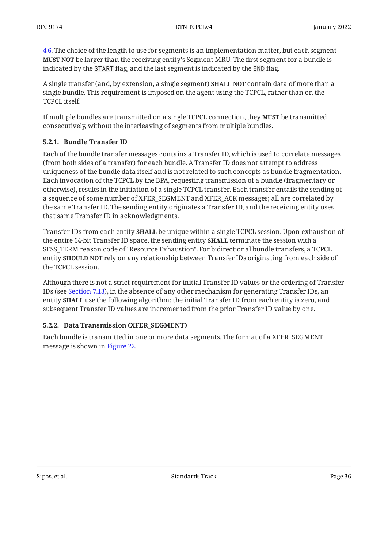[4.6.](#page-29-0) The choice of the length to use for segments is an implementation matter, but each segment **MUST NOT** be larger than the receiving entity's Segment MRU. The first segment for a bundle is indicated by the START flag, and the last segment is indicated by the END flag.

A single transfer (and, by extension, a single segment) **SHALL NOT** contain data of more than a single bundle. This requirement is imposed on the agent using the TCPCL, rather than on the TCPCL itself.

If multiple bundles are transmitted on a single TCPCL connection, they **MUST** be transmitted consecutively, without the interleaving of segments from multiple bundles.

#### <span id="page-35-0"></span>**[5.2.1. Bundle Transfer ID](#page-35-0)**

Each of the bundle transfer messages contains a Transfer ID, which is used to correlate messages (from both sides of a transfer) for each bundle. A Transfer ID does not attempt to address uniqueness of the bundle data itself and is not related to such concepts as bundle fragmentation. Each invocation of the TCPCL by the BPA, requesting transmission of a bundle (fragmentary or otherwise), results in the initiation of a single TCPCL transfer. Each transfer entails the sending of a sequence of some number of XFER\_SEGMENT and XFER\_ACK messages; all are correlated by the same Transfer ID. The sending entity originates a Transfer ID, and the receiving entity uses that same Transfer ID in acknowledgments.

Transfer IDs from each entity **SHALL** be unique within a single TCPCL session. Upon exhaustion of the entire 64-bit Transfer ID space, the sending entity **SHALL** terminate the session with a SESS\_TERM reason code of "Resource Exhaustion". For bidirectional bundle transfers, a TCPCL entity **SHOULD NOT** rely on any relationship between Transfer IDs originating from each side of the TCPCL session.

Although there is not a strict requirement for initial Transfer ID values or the ordering of Transfer IDs (see [Section 7.13\)](#page-48-3), in the absence of any other mechanism for generating Transfer IDs, an entity **SHALL** use the following algorithm: the initial Transfer ID from each entity is zero, and subsequent Transfer ID values are incremented from the prior Transfer ID value by one.

#### <span id="page-35-1"></span>**[5.2.2. Data Transmission \(XFER\\_SEGMENT\)](#page-35-1)**

<span id="page-35-2"></span>Each bundle is transmitted in one or more data segments. The format of a XFER\_SEGMENT message is shown in [Figure 22.](#page-36-0)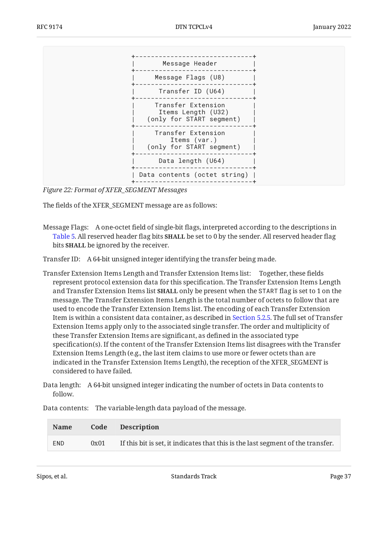<span id="page-36-0"></span>

*[Figure 22:](#page-36-0) [Format of XFER\\_SEGMENT Messages](#page-35-2)* 

The fields of the XFER\_SEGMENT message are as follows:

Transfer ID: A 64-bit unsigned integer identifying the transfer being made.

Transfer Extension Items Length and Transfer Extension Items list: Together, these fields represent protocol extension data for this specification. The Transfer Extension Items Length and Transfer Extension Items list **SHALL** only be present when the START flag is set to 1 on the message. The Transfer Extension Items Length is the total number of octets to follow that are used to encode the Transfer Extension Items list. The encoding of each Transfer Extension Item is within a consistent data container, as described in [Section 5.2.5.](#page-40-0) The full set of Transfer Extension Items apply only to the associated single transfer. The order and multiplicity of these Transfer Extension Items are significant, as defined in the associated type specification(s). If the content of the Transfer Extension Items list disagrees with the Transfer Extension Items Length (e.g., the last item claims to use more or fewer octets than are indicated in the Transfer Extension Items Length), the reception of the XFER\_SEGMENT is considered to have failed.

Data length: A 64-bit unsigned integer indicating the number of octets in Data contents to follow.

<span id="page-36-2"></span><span id="page-36-1"></span>

| <b>Name</b> |      | Code Description                                                                |
|-------------|------|---------------------------------------------------------------------------------|
| <b>END</b>  | 0x01 | If this bit is set, it indicates that this is the last segment of the transfer. |

Data contents: The variable-length data payload of the message.

Message Flags: A one-octet field of single-bit flags, interpreted according to the descriptions in [Table 5.](#page-36-1) All reserved header flag bits **SHALL** be set to 0 by the sender. All reserved header flag bits **SHALL** be ignored by the receiver.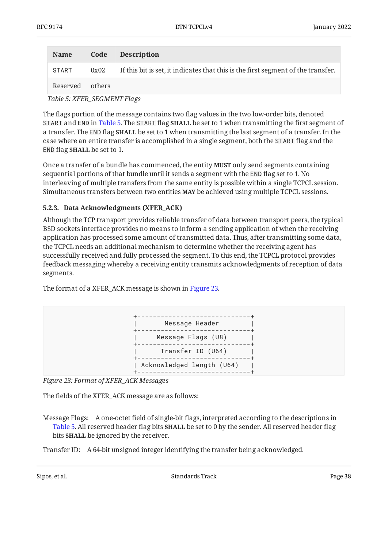| <b>Name</b> | Code   | <b>Description</b>                                                               |
|-------------|--------|----------------------------------------------------------------------------------|
| START       | 0x02   | If this bit is set, it indicates that this is the first segment of the transfer. |
| Reserved    | others |                                                                                  |

*[Table 5:](#page-36-2) [XFER\\_SEGMENT Flags](#page-36-1)* 

The flags portion of the message contains two flag values in the two low-order bits, denoted START and END in [Table 5](#page-36-1). The START flag **SHALL** be set to 1 when transmitting the first segment of a transfer. The END flag **SHALL** be set to 1 when transmitting the last segment of a transfer. In the case where an entire transfer is accomplished in a single segment, both the START flag and the END flag **SHALL** be set to 1.

Once a transfer of a bundle has commenced, the entity **MUST** only send segments containing sequential portions of that bundle until it sends a segment with the END flag set to 1. No interleaving of multiple transfers from the same entity is possible within a single TCPCL session. Simultaneous transfers between two entities **MAY** be achieved using multiple TCPCL sessions.

#### <span id="page-37-0"></span>**[5.2.3. Data Acknowledgments \(XFER\\_ACK\)](#page-37-0)**

Although the TCP transport provides reliable transfer of data between transport peers, the typical BSD sockets interface provides no means to inform a sending application of when the receiving application has processed some amount of transmitted data. Thus, after transmitting some data, the TCPCL needs an additional mechanism to determine whether the receiving agent has successfully received and fully processed the segment. To this end, the TCPCL protocol provides feedback messaging whereby a receiving entity transmits acknowledgments of reception of data segments.

<span id="page-37-1"></span>The format of a XFER\_ACK message is shown in [Figure 23.](#page-37-1)



*[Figure 23: Format of XFER\\_ACK Messages](#page-37-1)* 

The fields of the XFER\_ACK message are as follows:

Message Flags: A one-octet field of single-bit flags, interpreted according to the descriptions in [Table 5.](#page-36-1) All reserved header flag bits **SHALL** be set to 0 by the sender. All reserved header flag bits **SHALL** be ignored by the receiver.

Transfer ID: A 64-bit unsigned integer identifying the transfer being acknowledged.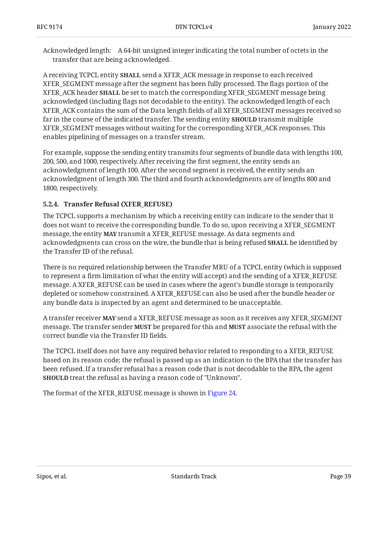Acknowledged length: A 64-bit unsigned integer indicating the total number of octets in the transfer that are being acknowledged.

A receiving TCPCL entity **SHALL** send a XFER\_ACK message in response to each received XFER\_SEGMENT message after the segment has been fully processed. The flags portion of the XFER\_ACK header **SHALL** be set to match the corresponding XFER\_SEGMENT message being acknowledged (including flags not decodable to the entity). The acknowledged length of each XFER ACK contains the sum of the Data length fields of all XFER\_SEGMENT messages received so far in the course of the indicated transfer. The sending entity **SHOULD** transmit multiple XFER\_SEGMENT messages without waiting for the corresponding XFER\_ACK responses. This enables pipelining of messages on a transfer stream.

For example, suppose the sending entity transmits four segments of bundle data with lengths 100, 200, 500, and 1000, respectively. After receiving the first segment, the entity sends an acknowledgment of length 100. After the second segment is received, the entity sends an acknowledgment of length 300. The third and fourth acknowledgments are of lengths 800 and 1800, respectively.

#### <span id="page-38-0"></span>**[5.2.4. Transfer Refusal \(XFER\\_REFUSE\)](#page-38-0)**

The TCPCL supports a mechanism by which a receiving entity can indicate to the sender that it does not want to receive the corresponding bundle. To do so, upon receiving a XFER\_SEGMENT message, the entity **MAY** transmit a XFER\_REFUSE message. As data segments and acknowledgments can cross on the wire, the bundle that is being refused **SHALL** be identified by the Transfer ID of the refusal.

There is no required relationship between the Transfer MRU of a TCPCL entity (which is supposed to represent a firm limitation of what the entity will accept) and the sending of a XFER\_REFUSE message. A XFER\_REFUSE can be used in cases where the agent's bundle storage is temporarily depleted or somehow constrained. A XFER\_REFUSE can also be used after the bundle header or any bundle data is inspected by an agent and determined to be unacceptable.

A transfer receiver **MAY** send a XFER\_REFUSE message as soon as it receives any XFER\_SEGMENT  $m$ essage. The transfer sender **MUST** be prepared for this and **MUST** associate the refusal with the correct bundle via the Transfer ID fields.

The TCPCL itself does not have any required behavior related to responding to a XFER\_REFUSE based on its reason code; the refusal is passed up as an indication to the BPA that the transfer has been refused. If a transfer refusal has a reason code that is not decodable to the BPA, the agent **SHOULD** treat the refusal as having a reason code of "Unknown".

<span id="page-38-1"></span>The format of the XFER\_REFUSE message is shown in [Figure 24.](#page-39-0)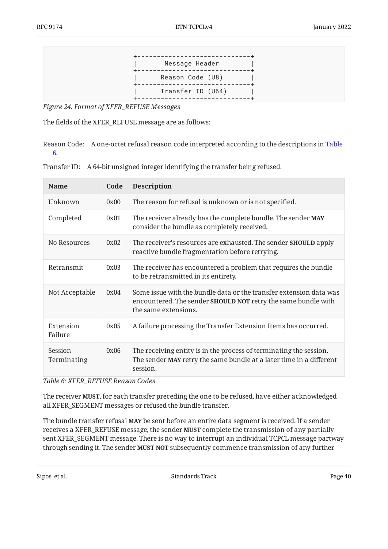<span id="page-39-0"></span>

| Message Header    |
|-------------------|
| Reason Code (U8)  |
| Transfer ID (U64) |

*[Figure 24:](#page-39-0) [Format of XFER\\_REFUSE Messages](#page-38-1)* 

The fields of the XFER\_REFUSE message are as follows:

Reason Code: A one-octet refusal reason code interpreted according to the descriptions in [Table](#page-39-1) [6](#page-39-1).

Transfer ID: A 64-bit unsigned integer identifying the transfer being refused.

<span id="page-39-1"></span>

| <b>Name</b>            | Code | <b>Description</b>                                                                                                                                          |
|------------------------|------|-------------------------------------------------------------------------------------------------------------------------------------------------------------|
| Unknown                | 0x00 | The reason for refusal is unknown or is not specified.                                                                                                      |
| Completed              | 0x01 | The receiver already has the complete bundle. The sender MAY<br>consider the bundle as completely received.                                                 |
| No Resources           | 0x02 | The receiver's resources are exhausted. The sender <b>SHOULD</b> apply<br>reactive bundle fragmentation before retrying.                                    |
| Retransmit             | 0x03 | The receiver has encountered a problem that requires the bundle<br>to be retransmitted in its entirety.                                                     |
| Not Acceptable         | 0x04 | Some issue with the bundle data or the transfer extension data was<br>encountered. The sender SHOULD NOT retry the same bundle with<br>the same extensions. |
| Extension<br>Failure   | 0x05 | A failure processing the Transfer Extension Items has occurred.                                                                                             |
| Session<br>Terminating | 0x06 | The receiving entity is in the process of terminating the session.<br>The sender MAY retry the same bundle at a later time in a different<br>session.       |

*[Table 6: XFER\\_REFUSE Reason Codes](#page-39-1)* 

The receiver **MUST**, for each transfer preceding the one to be refused, have either acknowledged all XFER\_SEGMENT messages or refused the bundle transfer.

The bundle transfer refusal **MAY** be sent before an entire data segment is received. If a sender receives a XFER\_REFUSE message, the sender **MUST** complete the transmission of any partially sent XFER\_SEGMENT message. There is no way to interrupt an individual TCPCL message partway through sending it. The sender **MUST NOT** subsequently commence transmission of any further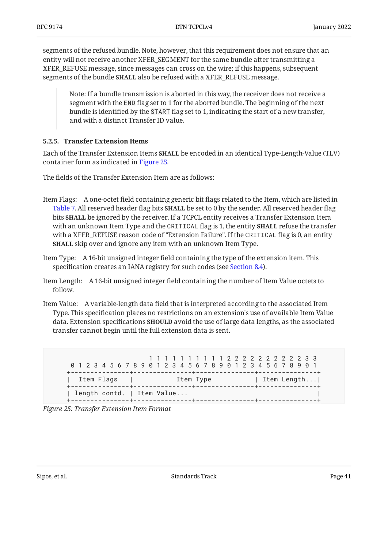segments of the refused bundle. Note, however, that this requirement does not ensure that an entity will not receive another XFER\_SEGMENT for the same bundle after transmitting a XFER\_REFUSE message, since messages can cross on the wire; if this happens, subsequent segments of the bundle **SHALL** also be refused with a XFER\_REFUSE message.

Note: If a bundle transmission is aborted in this way, the receiver does not receive a segment with the END flag set to 1 for the aborted bundle. The beginning of the next bundle is identified by the START flag set to 1, indicating the start of a new transfer, and with a distinct Transfer ID value.

#### <span id="page-40-0"></span>**[5.2.5. Transfer Extension Items](#page-40-0)**

Each of the Transfer Extension Items **SHALL** be encoded in an identical Type-Length-Value (TLV) container form as indicated in [Figure 25.](#page-40-1)

The fields of the Transfer Extension Item are as follows:

- Item Flags: A one-octet field containing generic bit flags related to the Item, which are listed in [Table 7.](#page-41-1) All reserved header flag bits **SHALL** be set to 0 by the sender. All reserved header flag bits **SHALL** be ignored by the receiver. If a TCPCL entity receives a Transfer Extension Item with an unknown Item Type and the <code>CRITICAL</code> flag is 1, the entity <code>SHALL</code> refuse the transfer with a XFER\_REFUSE reason code of "Extension Failure". If the CRITICAL flag is 0, an entity **SHALL** skip over and ignore any item with an unknown Item Type.
- Item Type: A 16-bit unsigned integer field containing the type of the extension item. This specification creates an IANA registry for such codes (see [Section 8.4](#page-50-0)).
- Item Length: A 16-bit unsigned integer field containing the number of Item Value octets to follow.
- Item Value: A variable-length data field that is interpreted according to the associated Item Type. This specification places no restrictions on an extension's use of available Item Value data. Extension specifications **SHOULD** avoid the use of large data lengths, as the associated transfer cannot begin until the full extension data is sent.

<span id="page-40-1"></span> 1 1 1 1 1 1 1 1 1 1 2 2 2 2 2 2 2 2 2 2 3 3 0 1 2 3 4 5 6 7 8 9 0 1 2 3 4 5 6 7 8 9 0 1 2 3 4 5 6 7 8 9 0 1 +---------------+---------------+---------------+---------------+ | Item Flags | Item Type | Item Length... +---------------+---------------+---------------+---------------+ | length contd. | Item Value... +---------------+---------------+---------------+---------------+

<span id="page-40-2"></span>*[Figure 25: Transfer Extension Item Format](#page-40-1)*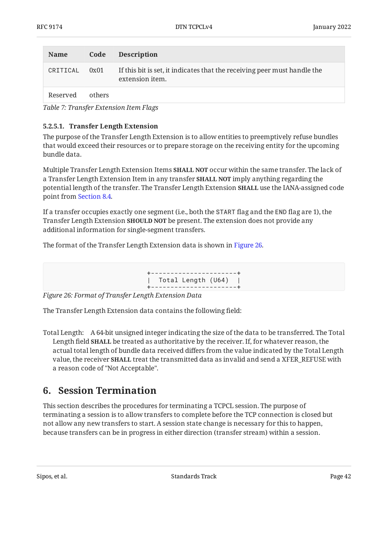<span id="page-41-1"></span>

| <b>Name</b> | Code   | <b>Description</b>                                                                          |
|-------------|--------|---------------------------------------------------------------------------------------------|
| CRITICAL    | 0x01   | If this bit is set, it indicates that the receiving peer must handle the<br>extension item. |
| Reserved    | others |                                                                                             |

*[Table 7:](#page-41-1) [Transfer Extension Item Flags](#page-40-2)* 

#### <span id="page-41-2"></span>**[5.2.5.1. Transfer Length Extension](#page-41-2)**

The purpose of the Transfer Length Extension is to allow entities to preemptively refuse bundles that would exceed their resources or to prepare storage on the receiving entity for the upcoming bundle data.

Multiple Transfer Length Extension Items **SHALL NOT** occur within the same transfer. The lack of a Transfer Length Extension Item in any transfer **SHALL NOT** imply anything regarding the potential length of the transfer. The Transfer Length Extension **SHALL** use the IANA-assigned code point from [Section 8.4](#page-50-0).

If a transfer occupies exactly one segment (i.e., both the START flag and the END flag are 1), the Transfer Length Extension **SHOULD NOT** be present. The extension does not provide any additional information for single-segment transfers.

<span id="page-41-3"></span>The format of the Transfer Length Extension data is shown in [Figure 26.](#page-41-3)

+----------------------+ | Total Length (U64) | +----------------------+

*[Figure 26: Format of Transfer Length Extension Data](#page-41-3)* 

The Transfer Length Extension data contains the following field:

Total Length: A 64-bit unsigned integer indicating the size of the data to be transferred. The Total Length field **SHALL** be treated as authoritative by the receiver. If, for whatever reason, the actual total length of bundle data received differs from the value indicated by the Total Length value, the receiver **SHALL** treat the transmitted data as invalid and send a XFER\_REFUSE with a reason code of "Not Acceptable".

## <span id="page-41-0"></span>**[6. Session Termination](#page-41-0)**

This section describes the procedures for terminating a TCPCL session. The purpose of terminating a session is to allow transfers to complete before the TCP connection is closed but not allow any new transfers to start. A session state change is necessary for this to happen, because transfers can be in progress in either direction (transfer stream) within a session.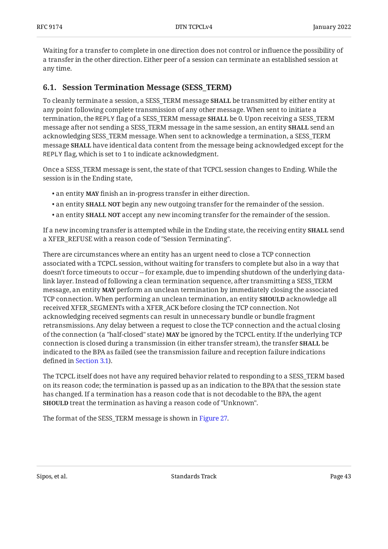Waiting for a transfer to complete in one direction does not control or influence the possibility of a transfer in the other direction. Either peer of a session can terminate an established session at any time.

#### <span id="page-42-0"></span>**[6.1. Session Termination Message \(SESS\\_TERM\)](#page-42-0)**

To cleanly terminate a session, a SESS\_TERM message **SHALL** be transmitted by either entity at any point following complete transmission of any other message. When sent to initiate a termination, the REPLY flag of a SESS\_TERM message **SHALL** be 0. Upon receiving a SESS\_TERM message after not sending a SESS\_TERM message in the same session, an entity **SHALL** send an acknowledging SESS\_TERM message. When sent to acknowledge a termination, a SESS\_TERM message **SHALL** have identical data content from the message being acknowledged except for the REPLY flag, which is set to 1 to indicate acknowledgment.

Once a SESS\_TERM message is sent, the state of that TCPCL session changes to Ending. While the session is in the Ending state,

- an entity **MAY** finish an in-progress transfer in either direction.
- an entity **SHALL NOT** begin any new outgoing transfer for the remainder of the session.
- an entity **SHALL NOT** accept any new incoming transfer for the remainder of the session.

If a new incoming transfer is attempted while in the Ending state, the receiving entity **SHALL** send a XFER\_REFUSE with a reason code of "Session Terminating".

There are circumstances where an entity has an urgent need to close a TCP connection associated with a TCPCL session, without waiting for transfers to complete but also in a way that doesn't force timeouts to occur -- for example, due to impending shutdown of the underlying datalink layer. Instead of following a clean termination sequence, after transmitting a SESS\_TERM message, an entity **MAY** perform an unclean termination by immediately closing the associated TCP connection. When performing an unclean termination, an entity **SHOULD** acknowledge all received XFER\_SEGMENTs with a XFER\_ACK before closing the TCP connection. Not acknowledging received segments can result in unnecessary bundle or bundle fragment retransmissions. Any delay between a request to close the TCP connection and the actual closing of the connection (a "half-closed" state) **MAY** be ignored by the TCPCL entity. If the underlying TCP connection is closed during a transmission (in either transfer stream), the transfer **SHALL** be indicated to the BPA as failed (see the transmission failure and reception failure indications defined in [Section 3.1](#page-8-1)).

The TCPCL itself does not have any required behavior related to responding to a SESS\_TERM based on its reason code; the termination is passed up as an indication to the BPA that the session state has changed. If a termination has a reason code that is not decodable to the BPA, the agent **SHOULD** treat the termination as having a reason code of "Unknown".

<span id="page-42-1"></span>The format of the SESS\_TERM message is shown in [Figure 27.](#page-43-0)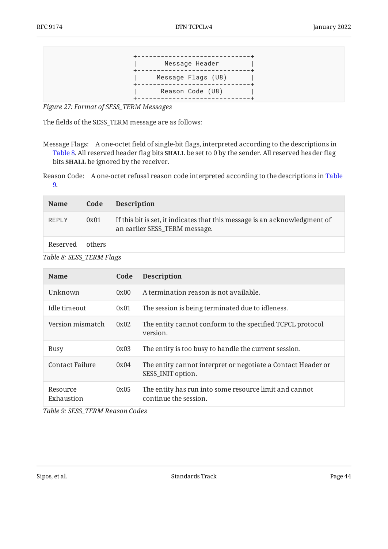<span id="page-43-0"></span>

*[Figure 27:](#page-43-0) [Format of SESS\\_TERM Messages](#page-42-1)* 

The fields of the SESS\_TERM message are as follows:

Reason Code: A one-octet refusal reason code interpreted according to the descriptions in [Table](#page-43-2) [9](#page-43-2).

<span id="page-43-1"></span>

| <b>Name</b>  | Code   | <b>Description</b>                                                                                          |
|--------------|--------|-------------------------------------------------------------------------------------------------------------|
| <b>REPLY</b> | 0x01   | If this bit is set, it indicates that this message is an acknowledgment of<br>an earlier SESS_TERM message. |
| Reserved     | others |                                                                                                             |

| Table 8: SESS_TERM Flags |  |
|--------------------------|--|
|--------------------------|--|

<span id="page-43-2"></span>

| <b>Name</b>            | Code | <b>Description</b>                                                                |
|------------------------|------|-----------------------------------------------------------------------------------|
| Unknown                | 0x00 | A termination reason is not available.                                            |
| Idle timeout           | 0x01 | The session is being terminated due to idleness.                                  |
| Version mismatch       | 0x02 | The entity cannot conform to the specified TCPCL protocol<br>version.             |
| Busy                   | 0x03 | The entity is too busy to handle the current session.                             |
| Contact Failure        | 0x04 | The entity cannot interpret or negotiate a Contact Header or<br>SESS_INIT option. |
| Resource<br>Exhaustion | 0x05 | The entity has run into some resource limit and cannot<br>continue the session.   |

*[Table 9: SESS\\_TERM Reason Codes](#page-43-2)* 

Message Flags: A one-octet field of single-bit flags, interpreted according to the descriptions in [Table 8.](#page-43-1) All reserved header flag bits **SHALL** be set to 0 by the sender. All reserved header flag bits **SHALL** be ignored by the receiver.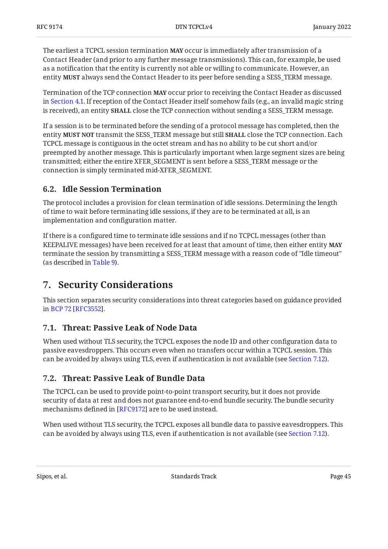The earliest a TCPCL session termination **MAY** occur is immediately after transmission of a Contact Header (and prior to any further message transmissions). This can, for example, be used as a notification that the entity is currently not able or willing to communicate. However, an entity **MUST** always send the Contact Header to its peer before sending a SESS\_TERM message.

Termination of the TCP connection **MAY** occur prior to receiving the Contact Header as discussed in [Section 4.1](#page-20-0). If reception of the Contact Header itself somehow fails (e.g., an invalid magic string is received), an entity **SHALL** close the TCP connection without sending a SESS\_TERM message.

If a session is to be terminated before the sending of a protocol message has completed, then the entity **MUST NOT** transmit the SESS\_TERM message but still **SHALL** close the TCP connection. Each TCPCL message is contiguous in the octet stream and has no ability to be cut short and/or preempted by another message. This is particularly important when large segment sizes are being transmitted; either the entire XFER\_SEGMENT is sent before a SESS\_TERM message or the connection is simply terminated mid-XFER\_SEGMENT.

### <span id="page-44-0"></span>**[6.2. Idle Session Termination](#page-44-0)**

The protocol includes a provision for clean termination of idle sessions. Determining the length of time to wait before terminating idle sessions, if they are to be terminated at all, is an implementation and configuration matter.

If there is a configured time to terminate idle sessions and if no TCPCL messages (other than KEEPALIVE messages) have been received for at least that amount of time, then either entity **MAY** terminate the session by transmitting a SESS\_TERM message with a reason code of "Idle timeout" (as described in [Table 9](#page-43-2)).

## <span id="page-44-1"></span>**[7. Security Considerations](#page-44-1)**

This section separates security considerations into threat categories based on guidance provided inBCP 72 [RFC3552].

## <span id="page-44-2"></span>**[7.1. Threat: Passive Leak of Node Data](#page-44-2)**

When used without TLS security, the TCPCL exposes the node ID and other configuration data to passive eavesdroppers. This occurs even when no transfers occur within a TCPCL session. This can be avoided by always using TLS, even if authentication is not available (see [Section 7.12\)](#page-48-0).

### <span id="page-44-3"></span>**[7.2. Threat: Passive Leak of Bundle Data](#page-44-3)**

The TCPCL can be used to provide point-to-point transport security, but it does not provide security of data at rest and does not guarantee end-to-end bundle security. The bundle security mechanisms defined in [RFC9172] are to be used instead.

When used without TLS security, the TCPCL exposes all bundle data to passive eavesdroppers. This can be avoided by always using TLS, even if authentication is not available (see [Section 7.12\)](#page-48-0).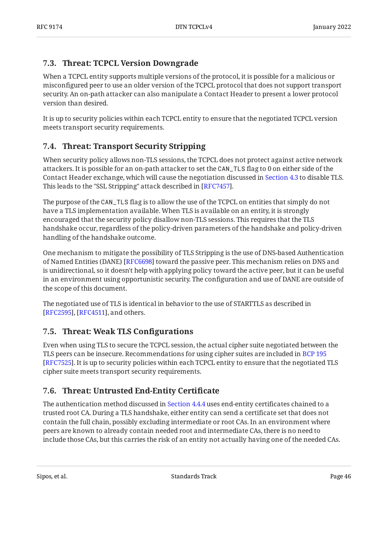### <span id="page-45-0"></span>**[7.3. Threat: TCPCL Version Downgrade](#page-45-0)**

When a TCPCL entity supports multiple versions of the protocol, it is possible for a malicious or misconfigured peer to use an older version of the TCPCL protocol that does not support transport security. An on-path attacker can also manipulate a Contact Header to present a lower protocol version than desired.

It is up to security policies within each TCPCL entity to ensure that the negotiated TCPCL version meets transport security requirements.

## <span id="page-45-1"></span>**[7.4. Threat: Transport Security Stripping](#page-45-1)**

When security policy allows non-TLS sessions, the TCPCL does not protect against active network attackers. It is possible for an on-path attacker to set the CAN\_TLS flag to 0 on either side of the Contact Header exchange, which will cause the negotiation discussed in [Section 4.3](#page-21-0) to disable TLS. This leads to the "SSL Stripping" attack described in [RFC7457].

The purpose of the CAN\_TLS flag is to allow the use of the TCPCL on entities that simply do not have a TLS implementation available. When TLS is available on an entity, it is strongly encouraged that the security policy disallow non-TLS sessions. This requires that the TLS handshake occur, regardless of the policy-driven parameters of the handshake and policy-driven handling of the handshake outcome.

One mechanism to mitigate the possibility of TLS Stripping is the use of DNS-based Authentication of Named Entities (DANE) [\[RFC6698](#page-56-3)] toward the passive peer. This mechanism relies on DNS and is unidirectional, so it doesn't help with applying policy toward the active peer, but it can be useful in an environment using opportunistic security. The configuration and use of DANE are outside of the scope of this document.

The negotiated use of TLS is identical in behavior to the use of STARTTLS as described in [[RFC2595\]](#page-56-4), [RFC4511], and others.

## <span id="page-45-2"></span>**[7.5. Threat: Weak TLS Con](#page-45-2)figurations**

Even when using TLS to secure the TCPCL session, the actual cipher suite negotiated between the TLS peers can be insecure. Recommendations for using cipher suites are included in [BCP 195](#page-55-8) [[RFC7525\]](#page-55-8). It is up to security policies within each TCPCL entity to ensure that the negotiated TLS cipher suite meets transport security requirements.

## <span id="page-45-3"></span>**[7.6. Threat: Untrusted End-Entity Certi](#page-45-3)ficate**

The authentication method discussed in [Section 4.4.4](#page-26-0) uses end-entity certificates chained to a trusted root CA. During a TLS handshake, either entity can send a certificate set that does not contain the full chain, possibly excluding intermediate or root CAs. In an environment where peers are known to already contain needed root and intermediate CAs, there is no need to include those CAs, but this carries the risk of an entity not actually having one of the needed CAs.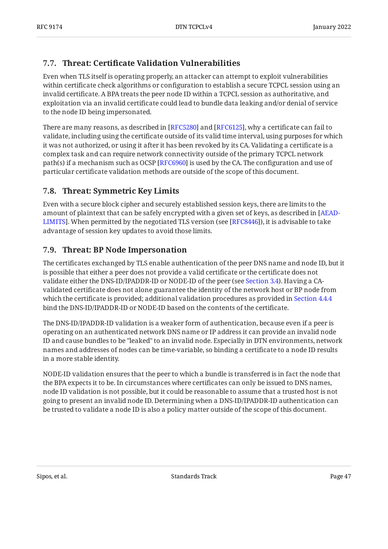## <span id="page-46-0"></span>**[7.7. T](#page-46-0)hreat: Certifi[cate Validation Vulnerabilities](#page-46-0)**

Even when TLS itself is operating properly, an attacker can attempt to exploit vulnerabilities within certificate check algorithms or configuration to establish a secure TCPCL session using an invalid certificate. A BPA treats the peer node ID within a TCPCL session as authoritative, and exploitation via an invalid certificate could lead to bundle data leaking and/or denial of service to the node ID being impersonated.

There are many reasons, as described in [RFC5280] and [RFC6125], why a certificate can fail to validate, including using the certificate outside of its valid time interval, using purposes for which it was not authorized, or using it after it has been revoked by its CA. Validating a certificate is a complex task and can require network connectivity outside of the primary TCPCL network path(s) if a mechanism such as OCSP [RFC6960] is used by the CA. The configuration and use of particular certificate validation methods are outside of the scope of this document.

## <span id="page-46-1"></span>**[7.8. Threat: Symmetric Key Limits](#page-46-1)**

Even with a secure block cipher and securely established session keys, there are limits to the amount of plaintext that can be safely encrypted with a given set of keys, as described in [[AEAD-](#page-56-6)[LIMITS](#page-56-6)]. When permitted by the negotiated TLS version (see [RFC8446]), it is advisable to take advantage of session key updates to avoid those limits.

## <span id="page-46-2"></span>**[7.9. Threat: BP Node Impersonation](#page-46-2)**

The certificates exchanged by TLS enable authentication of the peer DNS name and node ID, but it is possible that either a peer does not provide a valid certificate or the certificate does not validate either the DNS-ID/IPADDR-ID or NODE-ID of the peer (see [Section 3.4](#page-15-0)). Having a CAvalidated certificate does not alone guarantee the identity of the network host or BP node from which the certificate is provided; additional validation procedures as provided in [Section 4.4.4](#page-26-0) bind the DNS-ID/IPADDR-ID or NODE-ID based on the contents of the certificate.

The DNS-ID/IPADDR-ID validation is a weaker form of authentication, because even if a peer is operating on an authenticated network DNS name or IP address it can provide an invalid node ID and cause bundles to be "leaked" to an invalid node. Especially in DTN environments, network names and addresses of nodes can be time-variable, so binding a certificate to a node ID results in a more stable identity.

NODE-ID validation ensures that the peer to which a bundle is transferred is in fact the node that the BPA expects it to be. In circumstances where certificates can only be issued to DNS names, node ID validation is not possible, but it could be reasonable to assume that a trusted host is not going to present an invalid node ID. Determining when a DNS-ID/IPADDR-ID authentication can be trusted to validate a node ID is also a policy matter outside of the scope of this document.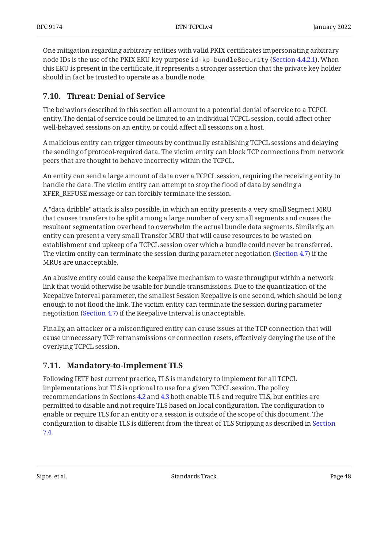One mitigation regarding arbitrary entities with valid PKIX certificates impersonating arbitrary node IDs is the use of the PKIX EKU key purpose id-kp-bundleSecurity [\(Section 4.4.2.1](#page-25-1)). When this EKU is present in the certificate, it represents a stronger assertion that the private key holder should in fact be trusted to operate as a bundle node.

### <span id="page-47-0"></span>**[7.10. Threat: Denial of Service](#page-47-0)**

The behaviors described in this section all amount to a potential denial of service to a TCPCL entity. The denial of service could be limited to an individual TCPCL session, could affect other well-behaved sessions on an entity, or could affect all sessions on a host.

A malicious entity can trigger timeouts by continually establishing TCPCL sessions and delaying the sending of protocol-required data. The victim entity can block TCP connections from network peers that are thought to behave incorrectly within the TCPCL.

An entity can send a large amount of data over a TCPCL session, requiring the receiving entity to handle the data. The victim entity can attempt to stop the flood of data by sending a XFER\_REFUSE message or can forcibly terminate the session.

A "data dribble" attack is also possible, in which an entity presents a very small Segment MRU that causes transfers to be split among a large number of very small segments and causes the resultant segmentation overhead to overwhelm the actual bundle data segments. Similarly, an entity can present a very small Transfer MRU that will cause resources to be wasted on establishment and upkeep of a TCPCL session over which a bundle could never be transferred. The victim entity can terminate the session during parameter negotiation ([Section 4.7](#page-31-0)) if the MRUs are unacceptable.

An abusive entity could cause the keepalive mechanism to waste throughput within a network link that would otherwise be usable for bundle transmissions. Due to the quantization of the Keepalive Interval parameter, the smallest Session Keepalive is one second, which should be long enough to not flood the link. The victim entity can terminate the session during parameter negotiation [\(Section 4.7](#page-31-0)) if the Keepalive Interval is unacceptable.

Finally, an attacker or a misconfigured entity can cause issues at the TCP connection that will cause unnecessary TCP retransmissions or connection resets, effectively denying the use of the overlying TCPCL session.

### <span id="page-47-1"></span>**[7.11. Mandatory-to-Implement TLS](#page-47-1)**

Following IETF best current practice, TLS is mandatory to implement for all TCPCL implementations but TLS is optional to use for a given TCPCL session. The policy recommendations in Sections [4.2](#page-20-1) and [4.3](#page-21-0) both enable TLS and require TLS, but entities are permitted to disable and not require TLS based on local configuration. The configuration to enable or require TLS for an entity or a session is outside of the scope of this document. The configuration to disable TLS is different from the threat of TLS Stripping as described in [Section](#page-45-1) [7.4.](#page-45-1)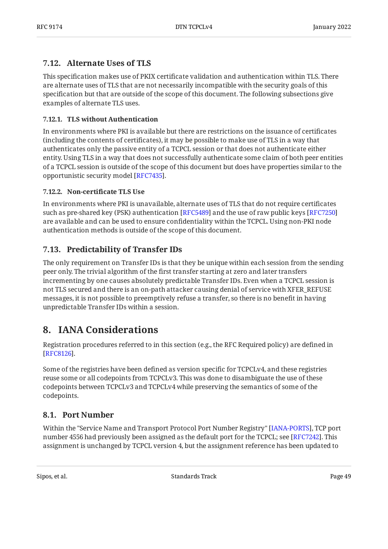### <span id="page-48-0"></span>**[7.12. Alternate Uses of TLS](#page-48-0)**

This specification makes use of PKIX certificate validation and authentication within TLS. There are alternate uses of TLS that are not necessarily incompatible with the security goals of this specification but that are outside of the scope of this document. The following subsections give examples of alternate TLS uses.

#### <span id="page-48-1"></span>**[7.12.1. TLS without Authentication](#page-48-1)**

In environments where PKI is available but there are restrictions on the issuance of certificates (including the contents of certificates), it may be possible to make use of TLS in a way that authenticates only the passive entity of a TCPCL session or that does not authenticate either entity. Using TLS in a way that does not successfully authenticate some claim of both peer entities of a TCPCL session is outside of the scope of this document but does have properties similar to the opportunistic security model [\[RFC7435\]](#page-57-3).

#### <span id="page-48-2"></span>**[7.12.2.](#page-48-2) Non-certifi[cate TLS Use](#page-48-2)**

In environments where PKI is unavailable, alternate uses of TLS that do not require certificates such as pre-shared key (PSK) authentication [RFC5489] and the use of raw public keys [[RFC7250\]](#page-56-8) are available and can be used to ensure confidentiality within the TCPCL. Using non-PKI node authentication methods is outside of the scope of this document.

### <span id="page-48-3"></span>**[7.13. Predictability of Transfer IDs](#page-48-3)**

The only requirement on Transfer IDs is that they be unique within each session from the sending peer only. The trivial algorithm of the first transfer starting at zero and later transfers incrementing by one causes absolutely predictable Transfer IDs. Even when a TCPCL session is not TLS secured and there is an on-path attacker causing denial of service with XFER\_REFUSE messages, it is not possible to preemptively refuse a transfer, so there is no benefit in having unpredictable Transfer IDs within a session.

## <span id="page-48-4"></span>**[8. IANA Considerations](#page-48-4)**

Registration procedures referred to in this section (e.g., the RFC Required policy) are defined in . [[RFC8126\]](#page-55-11)

Some of the registries have been defined as version specific for TCPCLv4, and these registries reuse some or all codepoints from TCPCLv3. This was done to disambiguate the use of these codepoints between TCPCLv3 and TCPCLv4 while preserving the semantics of some of the codepoints.

### <span id="page-48-5"></span>**[8.1. Port Number](#page-48-5)**

Within the "Service Name and Transport Protocol Port Number Registry" [IANA-PORTS], TCP port number 4556 had previously been assigned as the default port for the TCPCL; see [RFC7242]. This assignment is unchanged by TCPCL version 4, but the assignment reference has been updated to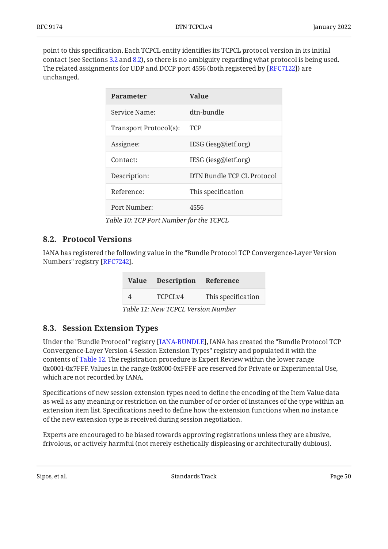<span id="page-49-3"></span>point to this specification. Each TCPCL entity identifies its TCPCL protocol version in its initial contact (see Sections [3.2](#page-10-0) and [8.2\)](#page-49-0), so there is no ambiguity regarding what protocol is being used. The related assignments for UDP and DCCP port 4556 (both registered by [RFC7122]) are unchanged.

<span id="page-49-2"></span>

| <b>Parameter</b>       | Value                      |
|------------------------|----------------------------|
| Service Name:          | dtn-bundle                 |
| Transport Protocol(s): | TCP                        |
| Assignee:              | IESG (iesg@ietf.org)       |
| Contact:               | IESG (iesg@ietf.org)       |
| Description:           | DTN Bundle TCP CL Protocol |
| Reference:             | This specification         |
| Port Number:           | 4556                       |

*[Table 10](#page-49-2): [TCP Port Number for the TCPCL](#page-49-3)* 

#### <span id="page-49-0"></span>**[8.2. Protocol Versions](#page-49-0)**

<span id="page-49-5"></span>IANA has registered the following value in the "Bundle Protocol TCP Convergence-Layer Version Numbers" registry [\[RFC7242\]](#page-56-9).

<span id="page-49-4"></span>

|   | Value Description Reference |                    |
|---|-----------------------------|--------------------|
| 4 | TCPCL <sub>V4</sub>         | This specification |

*[Table 11](#page-49-4): [New TCPCL Version Number](#page-49-5)* 

#### <span id="page-49-1"></span>**[8.3. Session Extension Types](#page-49-1)**

Under the "Bundle Protocol" registry [IANA-BUNDLE], IANA has created the "Bundle Protocol TCP Convergence-Layer Version 4 Session Extension Types" registry and populated it with the contents of [Table 12](#page-50-2). The registration procedure is Expert Review within the lower range 0x0001-0x7FFF. Values in the range 0x8000-0xFFFF are reserved for Private or Experimental Use, which are not recorded by IANA.

Specifications of new session extension types need to define the encoding of the Item Value data as well as any meaning or restriction on the number of or order of instances of the type within an extension item list. Specifications need to define how the extension functions when no instance of the new extension type is received during session negotiation.

Experts are encouraged to be biased towards approving registrations unless they are abusive, frivolous, or actively harmful (not merely esthetically displeasing or architecturally dubious).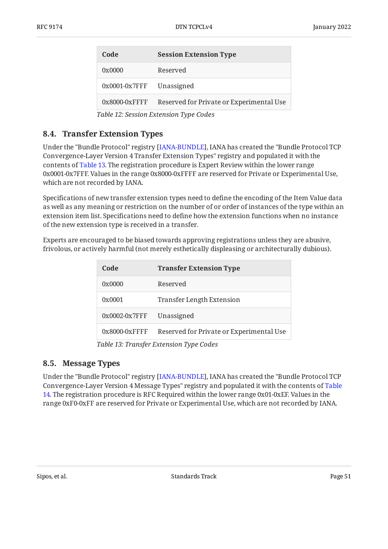<span id="page-50-3"></span><span id="page-50-2"></span>

| Code            | <b>Session Extension Type</b>            |  |
|-----------------|------------------------------------------|--|
| 0x0000          | Reserved                                 |  |
| $0x0001-0x7FFF$ | Unassigned                               |  |
| $0x8000-0xFFFF$ | Reserved for Private or Experimental Use |  |

*[Table 12](#page-50-3): [Session Extension Type Codes](#page-50-2)* 

### <span id="page-50-0"></span>**[8.4. Transfer Extension Types](#page-50-0)**

Under the "Bundle Protocol" registry [IANA-BUNDLE], IANA has created the "Bundle Protocol TCP Convergence-Layer Version 4 Transfer Extension Types" registry and populated it with the contents of [Table 13](#page-50-4). The registration procedure is Expert Review within the lower range 0x0001-0x7FFF. Values in the range 0x8000-0xFFFF are reserved for Private or Experimental Use, which are not recorded by IANA.

Specifications of new transfer extension types need to define the encoding of the Item Value data as well as any meaning or restriction on the number of or order of instances of the type within an extension item list. Specifications need to define how the extension functions when no instance of the new extension type is received in a transfer.

<span id="page-50-4"></span>Experts are encouraged to be biased towards approving registrations unless they are abusive, frivolous, or actively harmful (not merely esthetically displeasing or architecturally dubious).

<span id="page-50-5"></span>

| Code               | <b>Transfer Extension Type</b>           |
|--------------------|------------------------------------------|
| 0x0000             | Reserved                                 |
| 0x0001             | Transfer Length Extension                |
| $0x0002 - 0x7$ FFF | Unassigned                               |
| $0x8000-0x$ FFFF   | Reserved for Private or Experimental Use |

*[Table 13](#page-50-5): [Transfer Extension Type Codes](#page-50-4)* 

### <span id="page-50-1"></span>**[8.5. Message Types](#page-50-1)**

Under the "Bundle Protocol" registry [\[IANA-BUNDLE](#page-54-5)], IANA has created the "Bundle Protocol TCP Convergence-Layer Version 4 Message Types" registry and populated it with the contents of [Table](#page-51-1) [14](#page-51-1). The registration procedure is RFC Required within the lower range 0x01-0xEF. Values in the range 0xF0-0xFF are reserved for Private or Experimental Use, which are not recorded by IANA.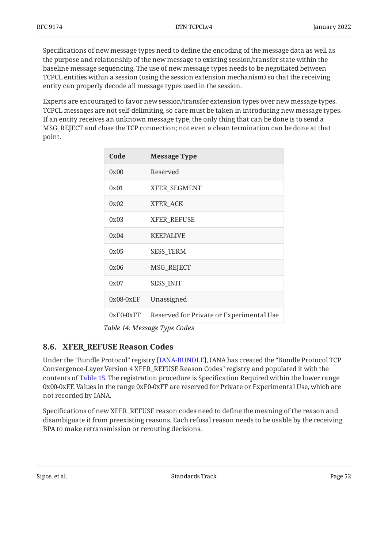Specifications of new message types need to define the encoding of the message data as well as the purpose and relationship of the new message to existing session/transfer state within the baseline message sequencing. The use of new message types needs to be negotiated between TCPCL entities within a session (using the session extension mechanism) so that the receiving entity can properly decode all message types used in the session.

<span id="page-51-1"></span>Experts are encouraged to favor new session/transfer extension types over new message types. TCPCL messages are not self-delimiting, so care must be taken in introducing new message types. If an entity receives an unknown message type, the only thing that can be done is to send a MSG\_REJECT and close the TCP connection; not even a clean termination can be done at that point.

<span id="page-51-2"></span>

| Code        | <b>Message Type</b>                      |
|-------------|------------------------------------------|
| 0x00        | Reserved                                 |
| 0x01        | <b>XFER SEGMENT</b>                      |
| 0x02        | XFER_ACK                                 |
| 0x03        | <b>XFER_REFUSE</b>                       |
| 0x04        | <b>KEEPALIVE</b>                         |
| 0x05        | <b>SESS_TERM</b>                         |
| 0x06        | MSG_REJECT                               |
| 0x07        | <b>SESS_INIT</b>                         |
| $0x08-0xEF$ | Unassigned                               |
| $0xF0-0xFF$ | Reserved for Private or Experimental Use |

*[Table 14](#page-51-2): [Message Type Codes](#page-51-1)* 

### <span id="page-51-0"></span>**[8.6. XFER\\_REFUSE Reason Codes](#page-51-0)**

Under the "Bundle Protocol" registry [\[IANA-BUNDLE](#page-54-5)], IANA has created the "Bundle Protocol TCP Convergence-Layer Version 4 XFER\_REFUSE Reason Codes" registry and populated it with the contents of [Table 15](#page-52-1). The registration procedure is Specification Required within the lower range 0x00-0xEF. Values in the range 0xF0-0xFF are reserved for Private or Experimental Use, which are not recorded by IANA.

Specifications of new XFER\_REFUSE reason codes need to define the meaning of the reason and disambiguate it from preexisting reasons. Each refusal reason needs to be usable by the receiving BPA to make retransmission or rerouting decisions.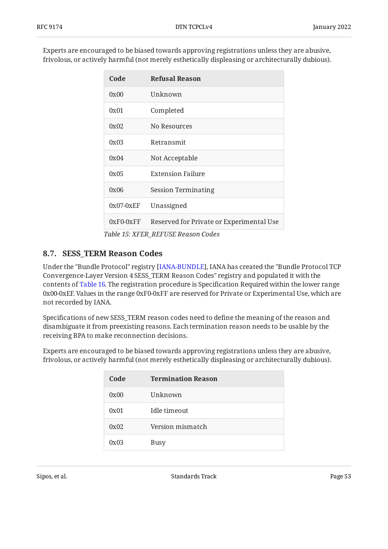<span id="page-52-1"></span>Experts are encouraged to be biased towards approving registrations unless they are abusive, frivolous, or actively harmful (not merely esthetically displeasing or architecturally dubious).

<span id="page-52-2"></span>

| Code        | <b>Refusal Reason</b>                    |
|-------------|------------------------------------------|
| 0x00        | Unknown                                  |
| 0x01        | Completed                                |
| 0x02        | No Resources                             |
| 0x03        | Retransmit                               |
| 0x04        | Not Acceptable                           |
| 0x05        | Extension Failure                        |
| 0x06        | <b>Session Terminating</b>               |
| $0x07-0xEF$ | Unassigned                               |
| $0xF0-0xFF$ | Reserved for Private or Experimental Use |

*[Table 15](#page-52-2): [XFER\\_REFUSE Reason Codes](#page-52-1)* 

### <span id="page-52-0"></span>**[8.7. SESS\\_TERM Reason Codes](#page-52-0)**

Under the "Bundle Protocol" registry [IANA-BUNDLE], IANA has created the "Bundle Protocol TCP Convergence-Layer Version 4 SESS\_TERM Reason Codes" registry and populated it with the contents of [Table 16](#page-52-3). The registration procedure is Specification Required within the lower range 0x00-0xEF. Values in the range 0xF0-0xFF are reserved for Private or Experimental Use, which are not recorded by IANA.

Specifications of new SESS\_TERM reason codes need to define the meaning of the reason and disambiguate it from preexisting reasons. Each termination reason needs to be usable by the receiving BPA to make reconnection decisions.

<span id="page-52-3"></span>Experts are encouraged to be biased towards approving registrations unless they are abusive, frivolous, or actively harmful (not merely esthetically displeasing or architecturally dubious).

<span id="page-52-4"></span>

| Code | <b>Termination Reason</b> |
|------|---------------------------|
| 0x00 | Unknown                   |
| 0x01 | Idle timeout              |
| 0x02 | Version mismatch          |
| 0x03 | <b>Busy</b>               |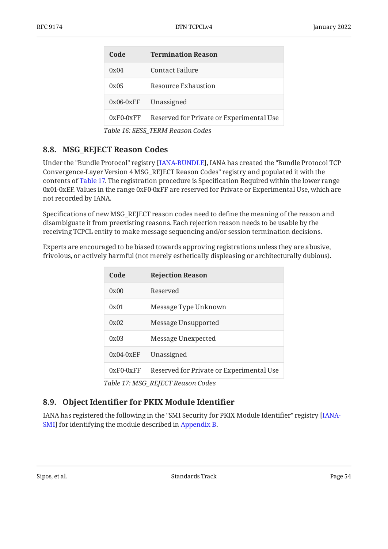| Code                             | <b>Termination Reason</b>                |  |
|----------------------------------|------------------------------------------|--|
| 0x04                             | Contact Failure                          |  |
| 0x05                             | Resource Exhaustion                      |  |
| $0x06-0xEF$                      | Unassigned                               |  |
| $0xF0-0xFF$                      | Reserved for Private or Experimental Use |  |
| Table 16: SESS_TERM Reason Codes |                                          |  |

### <span id="page-53-0"></span>**[8.8. MSG\\_REJECT Reason Codes](#page-53-0)**

Under the "Bundle Protocol" registry [IANA-BUNDLE], IANA has created the "Bundle Protocol TCP Convergence-Layer Version 4 MSG\_REJECT Reason Codes" registry and populated it with the contents of [Table 17](#page-53-2). The registration procedure is Specification Required within the lower range 0x01-0xEF. Values in the range 0xF0-0xFF are reserved for Private or Experimental Use, which are not recorded by IANA.

Specifications of new MSG\_REJECT reason codes need to define the meaning of the reason and disambiguate it from preexisting reasons. Each rejection reason needs to be usable by the receiving TCPCL entity to make message sequencing and/or session termination decisions.

<span id="page-53-2"></span>Experts are encouraged to be biased towards approving registrations unless they are abusive, frivolous, or actively harmful (not merely esthetically displeasing or architecturally dubious).

<span id="page-53-3"></span>

| <b>Rejection Reason</b>                  |
|------------------------------------------|
| Reserved                                 |
| Message Type Unknown                     |
| Message Unsupported                      |
| Message Unexpected                       |
| Unassigned                               |
| Reserved for Private or Experimental Use |
|                                          |

*[Table 17](#page-53-3): [MSG\\_REJECT Reason Codes](#page-53-2)* 

## <span id="page-53-1"></span>**[8.9. O](#page-53-1)bject Identifi[er for PKIX Module Identi](#page-53-1)fier**

<span id="page-53-4"></span>IANA has registered the following in the "SMI Security for PKIX Module Identifier" registry [[IANA-](#page-54-7)SMI] for identifying the module described in [Appendix B](#page-58-0).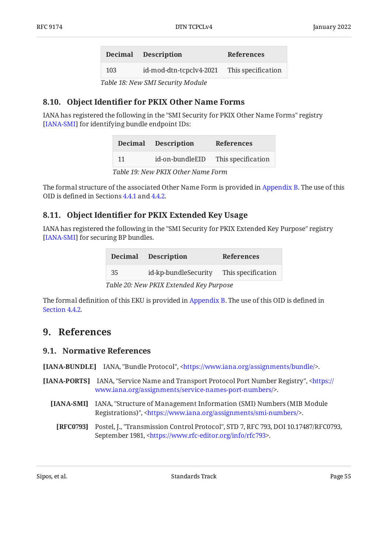<span id="page-54-8"></span>

|     | Decimal Description     | <b>References</b>  |
|-----|-------------------------|--------------------|
| 103 | id-mod-dtn-tcpclv4-2021 | This specification |
|     |                         |                    |

*[Table 18](#page-54-8): [New SMI Security Module](#page-53-4)* 

### <span id="page-54-0"></span>**[8.10. O](#page-54-0)bject Identifi[er for PKIX Other Name Forms](#page-54-0)**

<span id="page-54-10"></span>IANA has registered the following in the "SMI Security for PKIX Other Name Forms" registry [[IANA-SMI](#page-54-7)] for identifying bundle endpoint IDs:

<span id="page-54-9"></span>

|    | Decimal Description | <b>References</b>  |
|----|---------------------|--------------------|
| 11 | id-on-bundleEID     | This specification |
|    |                     |                    |

*[Table 19](#page-54-9): [New PKIX Other Name Form](#page-54-10)* 

The formal structure of the associated Other Name Form is provided in [Appendix B.](#page-58-0) The use of this OID is defined in Sections [4.4.1](#page-23-1) and [4.4.2](#page-24-0).

### <span id="page-54-1"></span>**[8.11. O](#page-54-1)bject Identifi[er for PKIX Extended Key Usage](#page-54-1)**

<span id="page-54-12"></span>IANA has registered the following in the "SMI Security for PKIX Extended Key Purpose" registry [[IANA-SMI](#page-54-7)] for securing BP bundles.

<span id="page-54-11"></span>

|     | Decimal Description                    | <b>References</b>  |
|-----|----------------------------------------|--------------------|
| -35 | id-kp-bundleSecurity                   | This specification |
|     | Table 20: May DVIV Extended Vay Dumass |                    |

*[Table 20](#page-54-11): [New PKIX Extended Key Purpose](#page-54-12)* 

<span id="page-54-2"></span>The formal definition of this EKU is provided in [Appendix B.](#page-58-0) The use of this OID is defined in [Section 4.4.2.](#page-24-0)

## <span id="page-54-3"></span>**[9. References](#page-54-2)**

### **[9.1. Normative References](#page-54-3)**

<span id="page-54-5"></span>**[IANA-BUNDLE]** IANA, "Bundle Protocol", [<https://www.iana.org/assignments/bundle/](https://www.iana.org/assignments/bundle/)>.

- <span id="page-54-7"></span><span id="page-54-6"></span><span id="page-54-4"></span>**[IANA-PORTS]** IANA, "Service Name and Transport Protocol Port Number Registry", [<https://](https://www.iana.org/assignments/service-names-port-numbers/) . [www.iana.org/assignments/service-names-port-numbers/>](https://www.iana.org/assignments/service-names-port-numbers/)
	- **[IANA-SMI]** IANA, "Structure of Management Information (SMI) Numbers (MIB Module Registrations)", [<https://www.iana.org/assignments/smi-numbers/>](https://www.iana.org/assignments/smi-numbers/).
		- **[RFC0793]** Postel, J., "Transmission Control Protocol", STD 7, RFC 793, DOI 10.17487/RFC0793, September 1981, <https://www.rfc-editor.org/info/rfc793>.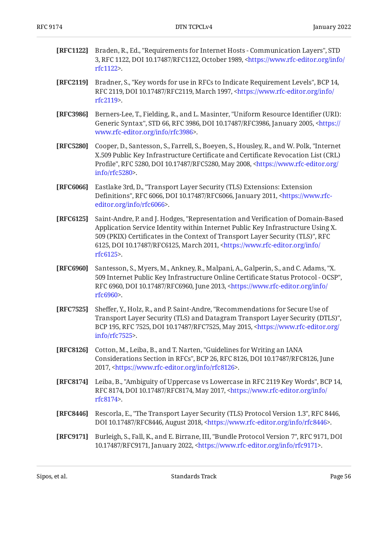<span id="page-55-1"></span>

| <b>[RFC1122]</b> Braden, R., Ed., "Requirements for Internet Hosts - Communication Layers", STD             |
|-------------------------------------------------------------------------------------------------------------|
| 3, RFC 1122, DOI 10.17487/RFC1122, October 1989, <https: <="" info="" th="" www.rfc-editor.org=""></https:> |
| rfc $1122$ .                                                                                                |

- <span id="page-55-2"></span>**[RFC2119]** Bradner, S., "Key words for use in RFCs to Indicate Requirement Levels", BCP 14, RFC 2119, DOI 10.17487/RFC2119, March 1997, [<https://www.rfc-editor.org/info/](https://www.rfc-editor.org/info/rfc2119) . [rfc2119](https://www.rfc-editor.org/info/rfc2119)>
- <span id="page-55-6"></span>**[RFC3986]** Berners-Lee, T., Fielding, R., and L. Masinter, "Uniform Resource Identifier (URI): Generic Syntax", STD 66, RFC 3986, DOI 10.17487/RFC3986, January 2005, [<https://](https://www.rfc-editor.org/info/rfc3986) . [www.rfc-editor.org/info/rfc3986>](https://www.rfc-editor.org/info/rfc3986)
- <span id="page-55-7"></span>**[RFC5280]** Cooper, D., Santesson, S., Farrell, S., Boeyen, S., Housley, R., and W. Polk, "Internet Profile", RFC 5280, DOI 10.17487/RFC5280, May 2008, [<https://www.rfc-editor.org/](https://www.rfc-editor.org/info/rfc5280) . [info/rfc5280>](https://www.rfc-editor.org/info/rfc5280) X.509 Public Key Infrastructure Certificate and Certificate Revocation List (CRL)
- <span id="page-55-9"></span>**[RFC6066]** , Eastlake 3rd, D. "Transport Layer Security (TLS) Extensions: Extension Definitions", RFC 6066, DOI 10.17487/RFC6066, January 2011, [<https://www.rfc-](https://www.rfc-editor.org/info/rfc6066). [editor.org/info/rfc6066](https://www.rfc-editor.org/info/rfc6066)>
- <span id="page-55-5"></span>**[RFC6125]** Saint-Andre, P. and J. Hodges, "Representation and Verification of Domain-Based , 509 (PKIX) Certificates in the Context of Transport Layer Security (TLS)" RFC 6125, DOI 10.17487/RFC6125, March 2011, [<https://www.rfc-editor.org/info/](https://www.rfc-editor.org/info/rfc6125) . [rfc6125](https://www.rfc-editor.org/info/rfc6125)> Application Service Identity within Internet Public Key Infrastructure Using X.
- <span id="page-55-10"></span>**[RFC6960]** Santesson, S., Myers, M., Ankney, R., Malpani, A., Galperin, S., and C. Adams, "X. , 509 Internet Public Key Infrastructure Online Certificate Status Protocol - OCSP" RFC 6960, DOI 10.17487/RFC6960, June 2013, [<https://www.rfc-editor.org/info/](https://www.rfc-editor.org/info/rfc6960) . [rfc6960](https://www.rfc-editor.org/info/rfc6960)>
- <span id="page-55-8"></span>**[RFC7525]** Sheffer, Y., Holz, R., and P. Saint-Andre, "Recommendations for Secure Use of , Transport Layer Security (TLS) and Datagram Transport Layer Security (DTLS)" BCP 195, RFC 7525, DOI 10.17487/RFC7525, May 2015, [<https://www.rfc-editor.org/](https://www.rfc-editor.org/info/rfc7525) . [info/rfc7525>](https://www.rfc-editor.org/info/rfc7525)
- <span id="page-55-11"></span>**[RFC8126]** Cotton, M., Leiba, B., and T. Narten, "Guidelines for Writing an IANA Considerations Section in RFCs", BCP 26, RFC 8126, DOI 10.17487/RFC8126, June 2017, <https://www.rfc-editor.org/info/rfc8126>.
- <span id="page-55-3"></span>**[RFC8174]** Leiba, B., "Ambiguity of Uppercase vs Lowercase in RFC 2119 Key Words", BCP 14, RFC 8174, DOI 10.17487/RFC8174, May 2017, <[https://www.rfc-editor.org/info/](https://www.rfc-editor.org/info/rfc8174) . [rfc8174](https://www.rfc-editor.org/info/rfc8174)>
- <span id="page-55-4"></span>**[RFC8446]** Rescorla, E., "The Transport Layer Security (TLS) Protocol Version 1.3", RFC 8446, DOI 10.17487/RFC8446, August 2018, <https://www.rfc-editor.org/info/rfc8446>.
- <span id="page-55-0"></span>**[RFC9171]** Burleigh, S., Fall, K., and E. Birrane, III, "Bundle Protocol Version 7", RFC 9171, DOI 10.17487/RFC9171, January 2022, [<https://www.rfc-editor.org/info/rfc9171](https://www.rfc-editor.org/info/rfc9171)>.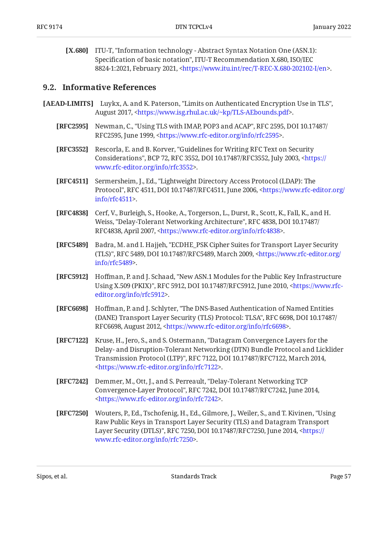<span id="page-56-11"></span>[X.680] ITU-T, "Information technology - Abstract Syntax Notation One (ASN.1): Specification of basic notation", ITU-T Recommendation X.680, ISO/IEC 8824-1:2021, February 2021, [<https://www.itu.int/rec/T-REC-X.680-202102-I/en](https://www.itu.int/rec/T-REC-X.680-202102-I/en)>.

#### <span id="page-56-0"></span>**[9.2. Informative References](#page-56-0)**

- <span id="page-56-12"></span><span id="page-56-7"></span><span id="page-56-6"></span><span id="page-56-5"></span><span id="page-56-4"></span><span id="page-56-2"></span><span id="page-56-1"></span>**[AEAD-LIMITS]** Luykx, A. and K. Paterson, "Limits on Authenticated Encryption Use in TLS", August 2017, <https://www.isg.rhul.ac.uk/~kp/TLS-AEbounds.pdf>.
	- **[RFC2595]** Newman, C., "Using TLS with IMAP, POP3 and ACAP", RFC 2595, DOI 10.17487/ RFC2595, June 1999, <https://www.rfc-editor.org/info/rfc2595>.
	- **[RFC3552]** Rescorla, E. and B. Korver, "Guidelines for Writing RFC Text on Security Considerations", BCP 72, RFC 3552, DOI 10.17487/RFC3552, July 2003, <[https://](https://www.rfc-editor.org/info/rfc3552) . [www.rfc-editor.org/info/rfc3552>](https://www.rfc-editor.org/info/rfc3552)
	- **[RFC4511]** , Sermersheim, J., Ed. "Lightweight Directory Access Protocol (LDAP): The Protocol", RFC 4511, DOI 10.17487/RFC4511, June 2006, [<https://www.rfc-editor.org/](https://www.rfc-editor.org/info/rfc4511) . [info/rfc4511>](https://www.rfc-editor.org/info/rfc4511)
	- **[RFC4838]** Cerf, V., Burleigh, S., Hooke, A., Torgerson, L., Durst, R., Scott, K., Fall, K., and H. Weiss, "Delay-Tolerant Networking Architecture", RFC 4838, DOI 10.17487/ RFC4838, April 2007, <https://www.rfc-editor.org/info/rfc4838>.
	- **[RFC5489]** Badra, M. and I. Hajjeh, "ECDHE\_PSK Cipher Suites for Transport Layer Security (TLS)", RFC 5489, DOI 10.17487/RFC5489, March 2009, [<https://www.rfc-editor.org/](https://www.rfc-editor.org/info/rfc5489) . [info/rfc5489>](https://www.rfc-editor.org/info/rfc5489)
	- **[RFC5912]** Hoffman, P. and J. Schaad, "New ASN.1 Modules for the Public Key Infrastructure Using X.509 (PKIX)", RFC 5912, DOI 10.17487/RFC5912, June 2010, <[https://www.rfc-](https://www.rfc-editor.org/info/rfc5912). [editor.org/info/rfc5912](https://www.rfc-editor.org/info/rfc5912)>
	- **[RFC6698]** Hoffman, P. and J. Schlyter, "The DNS-Based Authentication of Named Entities (DANE) Transport Layer Security (TLS) Protocol: TLSA", RFC 6698, DOI 10.17487/ RFC6698, August 2012, <https://www.rfc-editor.org/info/rfc6698>.
	- **[RFC7122]** Kruse, H., Jero, S., and S. Ostermann, "Datagram Convergence Layers for the Transmission Protocol (LTP)", RFC 7122, DOI 10.17487/RFC7122, March 2014, . [<https://www.rfc-editor.org/info/rfc7122](https://www.rfc-editor.org/info/rfc7122)> Delay- and Disruption-Tolerant Networking (DTN) Bundle Protocol and Licklider
	- **[RFC7242]** Demmer, M., Ott, J., and S. Perreault, "Delay-Tolerant Networking TCP Convergence-Layer Protocol", RFC 7242, DOI 10.17487/RFC7242, June 2014, . [<https://www.rfc-editor.org/info/rfc7242](https://www.rfc-editor.org/info/rfc7242)>
	- **[RFC7250]** Wouters, P., Ed., Tschofenig, H., Ed., Gilmore, J., Weiler, S., and T. Kivinen, "Using Layer Security (DTLS)", RFC 7250, DOI 10.17487/RFC7250, June 2014, <[https://](https://www.rfc-editor.org/info/rfc7250) . [www.rfc-editor.org/info/rfc7250>](https://www.rfc-editor.org/info/rfc7250) Raw Public Keys in Transport Layer Security (TLS) and Datagram Transport

<span id="page-56-10"></span><span id="page-56-9"></span><span id="page-56-8"></span><span id="page-56-3"></span>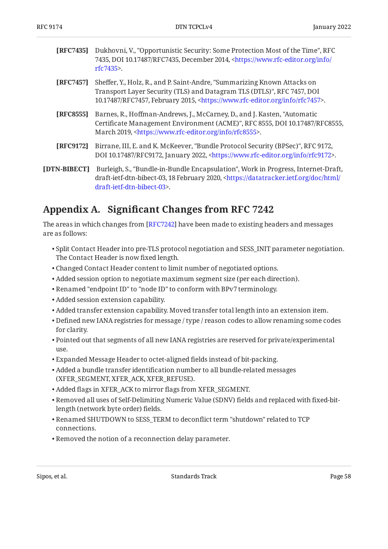<span id="page-57-3"></span>

| <b>[REC7435]</b> Dukhovni, V., "Opportunistic Security: Some Protection Most of the Time", RFC        |
|-------------------------------------------------------------------------------------------------------|
| 7435, DOI 10.17487/RFC7435, December 2014, <https: <="" info="" th="" www.rfc-editor.org=""></https:> |
| rfc7435>.                                                                                             |

- <span id="page-57-5"></span>**[RFC7457]** Sheffer, Y., Holz, R., and P. Saint-Andre, "Summarizing Known Attacks on , , Transport Layer Security (TLS) and Datagram TLS (DTLS)" RFC 7457 DOI 10.17487/RFC7457, February 2015, <https://www.rfc-editor.org/info/rfc7457>.
- <span id="page-57-1"></span>**[RFC8555]** Barnes, R., Hoffman-Andrews, J., McCarney, D., and J. Kasten, "Automatic Certificate Management Environment (ACME)", RFC 8555, DOI 10.17487/RFC8555, March 2019, <https://www.rfc-editor.org/info/rfc8555>.
- <span id="page-57-4"></span>**[RFC9172]** Birrane, III, E. and K. McKeever, "Bundle Protocol Security (BPSec)", RFC 9172, DOI 10.17487/RFC9172, January 2022, <https://www.rfc-editor.org/info/rfc9172>.
- <span id="page-57-2"></span>**[DTN-BIBECT]** Burleigh, S., "Bundle-in-Bundle Encapsulation", Work in Progress, Internet-Draft, draft-ietf-dtn-bibect-03, 18 February 2020, <[https://datatracker.ietf.org/doc/html/](https://datatracker.ietf.org/doc/html/draft-ietf-dtn-bibect-03) . [draft-ietf-dtn-bibect-03>](https://datatracker.ietf.org/doc/html/draft-ietf-dtn-bibect-03)

## <span id="page-57-0"></span>**[Appendix A.](#page-57-0) Signifi[cant Changes from RFC 7242](#page-57-0)**

The areas in which changes from [[RFC7242\]](#page-56-9) have been made to existing headers and messages are as follows:

- $\bullet$  Split Contact Header into pre-TLS protocol negotiation and SESS\_INIT parameter negotiation. The Contact Header is now fixed length.
- Changed Contact Header content to limit number of negotiated options. •
- Added session option to negotiate maximum segment size (per each direction). •
- Renamed "endpoint ID" to "node ID" to conform with BPv7 terminology. •
- Added session extension capability. •
- Added transfer extension capability. Moved transfer total length into an extension item. •
- Defined new IANA registries for message / type / reason codes to allow renaming some codes for clarity.
- $\bullet$  Pointed out that segments of all new IANA registries are reserved for private/experimental use.
- Expanded Message Header to octet-aligned fields instead of bit-packing. •
- Added a bundle transfer identification number to all bundle-related messages (XFER\_SEGMENT, XFER\_ACK, XFER\_REFUSE).
- Added flags in XFER\_ACK to mirror flags from XFER\_SEGMENT. •
- $\bullet$  Removed all uses of Self-Delimiting Numeric Value (SDNV) fields and replaced with fixed-bitlength (network byte order) fields.
- $\bullet$  Renamed SHUTDOWN to SESS\_TERM to deconflict term "shutdown" related to TCP connections.
- Removed the notion of a reconnection delay parameter. •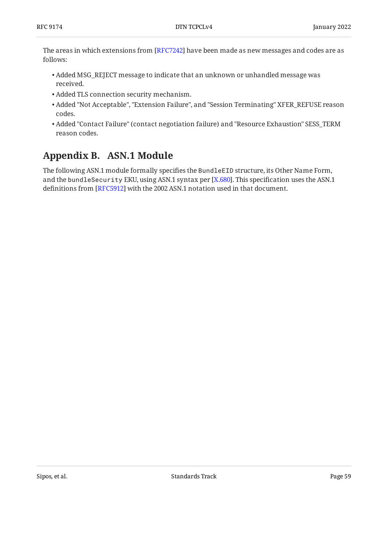The areas in which extensions from [RFC7242] have been made as new messages and codes are as follows:

- Added MSG\_REJECT message to indicate that an unknown or unhandled message was received.
- Added TLS connection security mechanism. •
- Added "Not Acceptable", "Extension Failure", and "Session Terminating" XFER\_REFUSE reason codes.
- Added "Contact Failure" (contact negotiation failure) and "Resource Exhaustion" SESS\_TERM reason codes.

## <span id="page-58-0"></span>**[Appendix B. ASN.1 Module](#page-58-0)**

The following ASN.1 module formally specifies the BundleEID structure, its Other Name Form, and the bund $1$ eSecurity EKU, using ASN.1 syntax per [X.680]. This specification uses the ASN.1  $\,$ definitions from [RFC5912] with the 2002 ASN.1 notation used in that document.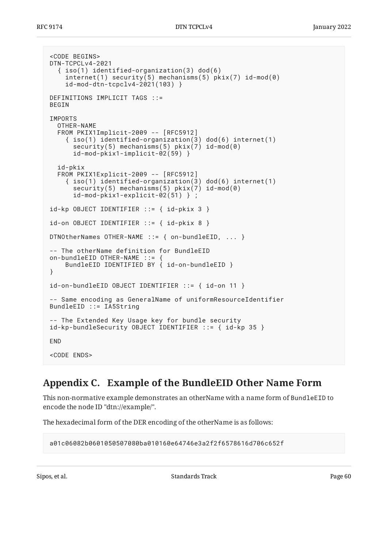```
<CODE BEGINS>
DTN-TCPCLv4-2021
   { iso(1) identified-organization(3) dod(6)
    internet(1) security(5) mechanisms(5) pix(7) id-mod(0) id-mod-dtn-tcpclv4-2021(103) }
DEFINITIONS IMPLICIT TAGS ::=
BEGIN
IMPORTS
   OTHER-NAME
   FROM PKIX1Implicit-2009 -- [RFC5912]
     { iso(1) identified-organization(3) dod(6) internet(1)
      security(5) mechanisms(5) pkix(7) id-mod(0)
       id-mod-pkix1-implicit-02(59) }
   id-pkix
   FROM PKIX1Explicit-2009 -- [RFC5912]
     { iso(1) identified-organization(3) dod(6) internet(1)
      security(5) mechanisms(5) pix(7) id-mod(0)
       id-mod-pkix1-explicit-02(51) } ;
id-kp OBJECT IDENTIFIER ::= { id-pkix 3 }
id-on OBJECT IDENTIFIER ::= { id-pkix 8 }
DTNOtherNames OTHER-NAME ::= { on-bundleEID, ... }
-- The otherName definition for BundleEID
on-bundleEID OTHER-NAME ::= {
     BundleEID IDENTIFIED BY { id-on-bundleEID }
}
id-on-bundleEID OBJECT IDENTIFIER ::= { id-on 11 }
-- Same encoding as GeneralName of uniformResourceIdentifier
BundleEID ::= IA5String
-- The Extended Key Usage key for bundle security
id-kp-bundleSecurity OBJECT IDENTIFIER ::= { id-kp 35 }
END
<CODE ENDS>
```
## <span id="page-59-0"></span>**[Appendix C. Example of the BundleEID Other Name Form](#page-59-0)**

This non-normative example demonstrates an otherName with a name form of BundleEID to encode the node ID "dtn://example/".

The hexadecimal form of the DER encoding of the otherName is as follows:

```
a01c06082b0601050507080ba010160e64746e3a2f2f6578616d706c652f
```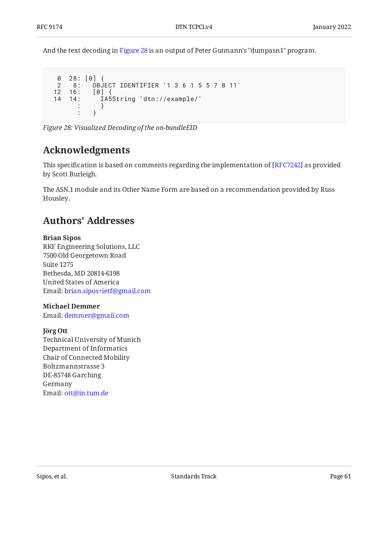And the text decoding in [Figure 28](#page-60-2) is an output of Peter Gutmann's "dumpasn1" program.

```
 0 28: [0] {
   2 8: OBJECT IDENTIFIER '1 3 6 1 5 5 7 8 11'
  12 16: [0] {
                        14 14: IA5String 'dtn://example/'
\begin{array}{ccc} \cdot & \cdot & \cdot \\ \cdot & \cdot & \cdot \end{array}\begin{array}{ccc} \cdot & \cdot & \cdot \end{array}
```
<span id="page-60-0"></span>*[Figure 28: Visualized Decoding of the on-bundleEID](#page-60-2)* 

## **[Acknowledgments](#page-60-0)**

This specification is based on comments regarding the implementation of [RFC7242] as provided by Scott Burleigh.

<span id="page-60-1"></span>The ASN.1 module and its Other Name Form are based on a recommendation provided by Russ . Housley

## **[Authors' Addresses](#page-60-1)**

#### **Brian Sipos**

RKF Engineering Solutions, LLC 7500 Old Georgetown Road Suite 1275 Bethesda, MD 20814-6198 United States of America Email: [brian.sipos+ietf@gmail.com](mailto:brian.sipos+ietf@gmail.com)

#### **Michael Demmer**

Email: [demmer@gmail.com](mailto:demmer@gmail.com)

#### **Jörg Ott**

Technical University of Munich Department of Informatics Chair of Connected Mobility Boltzmannstrasse 3 DE-85748 Garching Germany Email: [ott@in.tum.de](mailto:ott@in.tum.de)